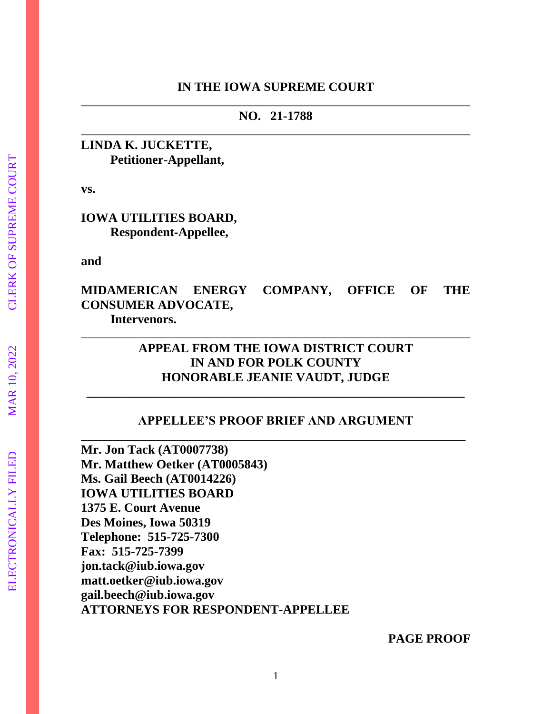#### **IN THE IOWA SUPREME COURT**

**NO. 21-1788**

## **LINDA K. JUCKETTE, Petitioner-Appellant,**

**vs.**

### **IOWA UTILITIES BOARD, Respondent-Appellee,**

**and**

**MIDAMERICAN ENERGY COMPANY, OFFICE OF THE CONSUMER ADVOCATE, Intervenors.**

# **APPEAL FROM THE IOWA DISTRICT COURT IN AND FOR POLK COUNTY HONORABLE JEANIE VAUDT, JUDGE**

## **APPELLEE'S PROOF BRIEF AND ARGUMENT \_\_\_\_\_\_\_\_\_\_\_\_\_\_\_\_\_\_\_\_\_\_\_\_\_\_\_\_\_\_\_\_\_\_\_\_\_\_\_\_\_\_\_\_\_\_\_\_\_\_\_\_\_\_\_\_\_\_\_\_\_**

**\_\_\_\_\_\_\_\_\_\_\_\_\_\_\_\_\_\_\_\_\_\_\_\_\_\_\_\_\_\_\_\_\_\_\_\_\_\_\_\_\_\_\_\_\_\_\_\_\_\_\_\_\_\_\_\_\_\_\_\_**

**Mr. Jon Tack (AT0007738) Mr. Matthew Oetker (AT0005843) Ms. Gail Beech (AT0014226) IOWA UTILITIES BOARD 1375 E. Court Avenue Des Moines, Iowa 50319 Telephone: 515-725-7300 Fax: 515-725-7399 [jon.tack@iub.iowa.gov](mailto:jon.tack@iub.iowa.gov) [matt.oetker@iub.iowa.gov](mailto:matt.oetker@iub.iowa.gov) gail.beech@iub.iowa.gov ATTORNEYS FOR RESPONDENT-APPELLEE**

**PAGE PROOF**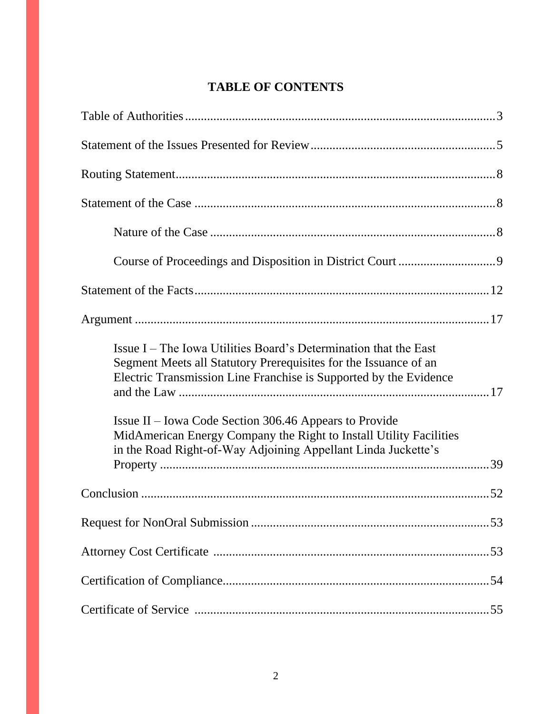# **TABLE OF CONTENTS**

| Issue I – The Iowa Utilities Board's Determination that the East<br>Segment Meets all Statutory Prerequisites for the Issuance of an<br>Electric Transmission Line Franchise is Supported by the Evidence<br>Issue II – Iowa Code Section 306.46 Appears to Provide |  |
|---------------------------------------------------------------------------------------------------------------------------------------------------------------------------------------------------------------------------------------------------------------------|--|
| MidAmerican Energy Company the Right to Install Utility Facilities<br>in the Road Right-of-Way Adjoining Appellant Linda Juckette's                                                                                                                                 |  |
|                                                                                                                                                                                                                                                                     |  |
|                                                                                                                                                                                                                                                                     |  |
|                                                                                                                                                                                                                                                                     |  |
|                                                                                                                                                                                                                                                                     |  |
|                                                                                                                                                                                                                                                                     |  |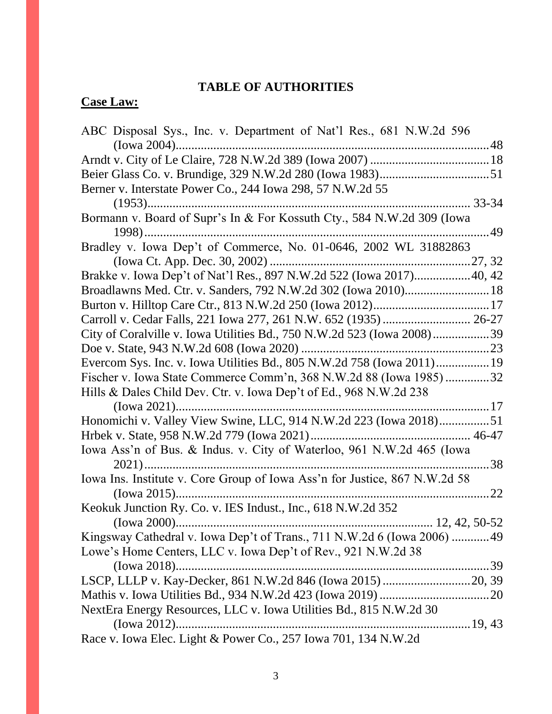# **TABLE OF AUTHORITIES**

# **Case Law:**

| ABC Disposal Sys., Inc. v. Department of Nat'l Res., 681 N.W.2d 596              |
|----------------------------------------------------------------------------------|
|                                                                                  |
|                                                                                  |
|                                                                                  |
| Berner v. Interstate Power Co., 244 Iowa 298, 57 N.W.2d 55                       |
|                                                                                  |
| Bormann v. Board of Supr's In & For Kossuth Cty., 584 N.W.2d 309 (Iowa           |
| 49                                                                               |
| Bradley v. Iowa Dep't of Commerce, No. 01-0646, 2002 WL 31882863                 |
|                                                                                  |
| Brakke v. Iowa Dep't of Nat'l Res., 897 N.W.2d 522 (Iowa 2017)40, 42             |
| Broadlawns Med. Ctr. v. Sanders, 792 N.W.2d 302 (Iowa 2010) 18                   |
|                                                                                  |
|                                                                                  |
| City of Coralville v. Iowa Utilities Bd., 750 N.W.2d 523 (Iowa 2008)39           |
|                                                                                  |
| Evercom Sys. Inc. v. Iowa Utilities Bd., 805 N.W.2d 758 (Iowa 2011) 19           |
| Fischer v. Iowa State Commerce Comm'n, 368 N.W.2d 88 (Iowa 1985)32               |
| Hills & Dales Child Dev. Ctr. v. Iowa Dep't of Ed., 968 N.W.2d 238               |
|                                                                                  |
| Honomichi v. Valley View Swine, LLC, 914 N.W.2d 223 (Iowa 2018)51                |
|                                                                                  |
| Iowa Ass'n of Bus. & Indus. v. City of Waterloo, 961 N.W.2d 465 (Iowa            |
| 38                                                                               |
| Iowa Ins. Institute v. Core Group of Iowa Ass'n for Justice, 867 N.W.2d 58       |
|                                                                                  |
| Keokuk Junction Ry. Co. v. IES Indust., Inc., 618 N.W.2d 352                     |
|                                                                                  |
| Kingsway Cathedral v. Iowa Dep't of Trans., 711 N.W.2d 6 (Iowa 2006)  49         |
| Lowe's Home Centers, LLC v. Iowa Dep't of Rev., 921 N.W.2d 38                    |
| (Iowa 2018)<br>.39                                                               |
|                                                                                  |
|                                                                                  |
| NextEra Energy Resources, LLC v. Iowa Utilities Bd., 815 N.W.2d 30               |
|                                                                                  |
| (Iowa $2012$ )<br>Race v. Iowa Elec. Light & Power Co., 257 Iowa 701, 134 N.W.2d |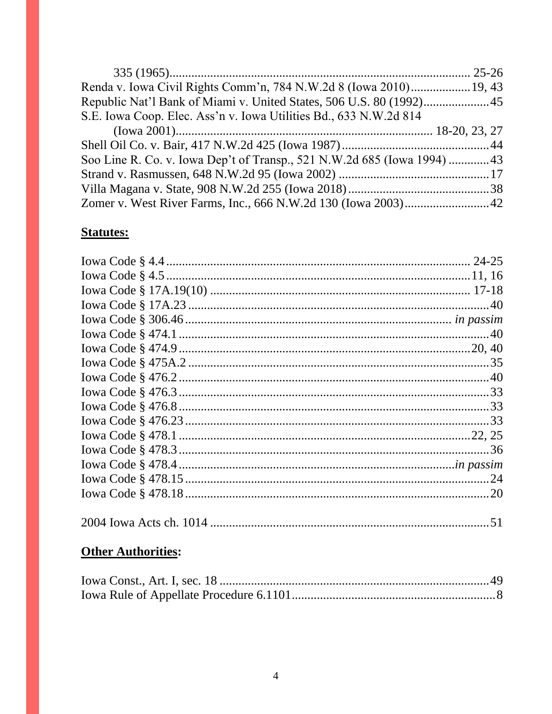| Renda v. Iowa Civil Rights Comm'n, 784 N.W.2d 8 (Iowa 2010) 19, 43      |  |
|-------------------------------------------------------------------------|--|
|                                                                         |  |
| S.E. Iowa Coop. Elec. Ass'n v. Iowa Utilities Bd., 633 N.W.2d 814       |  |
|                                                                         |  |
|                                                                         |  |
| Soo Line R. Co. v. Iowa Dep't of Transp., 521 N.W.2d 685 (Iowa 1994) 43 |  |
|                                                                         |  |
|                                                                         |  |
|                                                                         |  |

# **Statutes:**

# **Other Authorities:**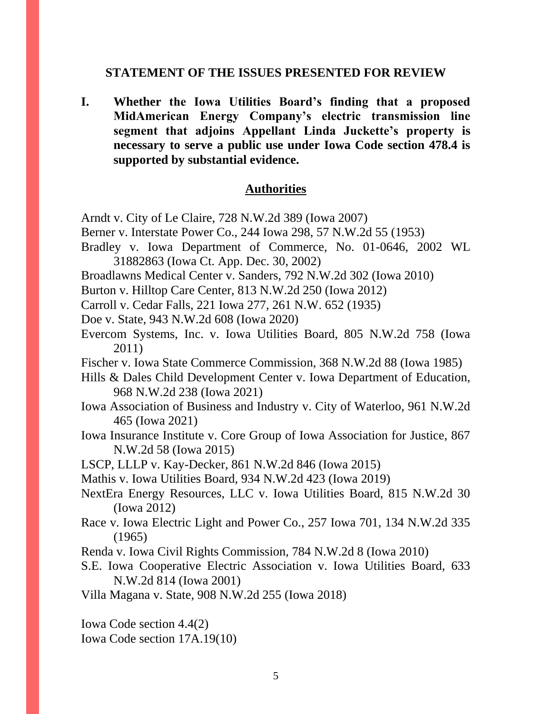#### **STATEMENT OF THE ISSUES PRESENTED FOR REVIEW**

**I. Whether the Iowa Utilities Board's finding that a proposed MidAmerican Energy Company's electric transmission line segment that adjoins Appellant Linda Juckette's property is necessary to serve a public use under Iowa Code section 478.4 is supported by substantial evidence.**

### **Authorities**

Arndt v. City of Le Claire, 728 N.W.2d 389 (Iowa 2007)

- Berner v. Interstate Power Co., 244 Iowa 298, 57 N.W.2d 55 (1953)
- Bradley v. Iowa Department of Commerce, No. 01-0646, 2002 WL 31882863 (Iowa Ct. App. Dec. 30, 2002)
- Broadlawns Medical Center v. Sanders, 792 N.W.2d 302 (Iowa 2010)
- Burton v. Hilltop Care Center, 813 N.W.2d 250 (Iowa 2012)
- Carroll v. Cedar Falls, 221 Iowa 277, 261 N.W. 652 (1935)
- Doe v. State, 943 N.W.2d 608 (Iowa 2020)
- Evercom Systems, Inc. v. Iowa Utilities Board, 805 N.W.2d 758 (Iowa 2011)
- Fischer v. Iowa State Commerce Commission, 368 N.W.2d 88 (Iowa 1985)
- Hills & Dales Child Development Center v. Iowa Department of Education, 968 N.W.2d 238 (Iowa 2021)
- Iowa Association of Business and Industry v. City of Waterloo, 961 N.W.2d 465 (Iowa 2021)
- Iowa Insurance Institute v. Core Group of Iowa Association for Justice, 867 N.W.2d 58 (Iowa 2015)

LSCP, LLLP v. Kay-Decker, 861 N.W.2d 846 (Iowa 2015)

Mathis v. Iowa Utilities Board, 934 N.W.2d 423 (Iowa 2019)

- NextEra Energy Resources, LLC v. Iowa Utilities Board, 815 N.W.2d 30 (Iowa 2012)
- Race v. Iowa Electric Light and Power Co., 257 Iowa 701, 134 N.W.2d 335 (1965)
- Renda v. Iowa Civil Rights Commission, 784 N.W.2d 8 (Iowa 2010)
- S.E. Iowa Cooperative Electric Association v. Iowa Utilities Board, 633 N.W.2d 814 (Iowa 2001)

Villa Magana v. State, 908 N.W.2d 255 (Iowa 2018)

Iowa Code section 4.4(2) Iowa Code section 17A.19(10)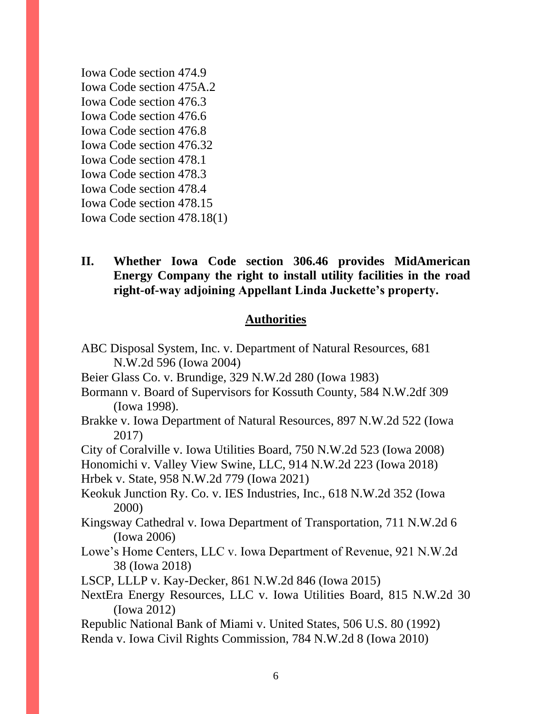Iowa Code section 474.9 Iowa Code section 475A.2 Iowa Code section 476.3 Iowa Code section 476.6 Iowa Code section 476.8 Iowa Code section 476.32 Iowa Code section 478.1 Iowa Code section 478.3 Iowa Code section 478.4 Iowa Code section 478.15 Iowa Code section 478.18(1)

# **II. Whether Iowa Code section 306.46 provides MidAmerican Energy Company the right to install utility facilities in the road right-of-way adjoining Appellant Linda Juckette's property.**

# **Authorities**

| ABC Disposal System, Inc. v. Department of Natural Resources, 681                         |
|-------------------------------------------------------------------------------------------|
| N.W.2d 596 (Iowa 2004)                                                                    |
| Beier Glass Co. v. Brundige, 329 N.W.2d 280 (Iowa 1983)                                   |
| Bormann v. Board of Supervisors for Kossuth County, 584 N.W.2df 309                       |
| (Iowa 1998).                                                                              |
| Brakke v. Iowa Department of Natural Resources, 897 N.W.2d 522 (Iowa<br>2017)             |
| City of Coralville v. Iowa Utilities Board, 750 N.W.2d 523 (Iowa 2008)                    |
| Honomichi v. Valley View Swine, LLC, 914 N.W.2d 223 (Iowa 2018)                           |
| Hrbek v. State, 958 N.W.2d 779 (Iowa 2021)                                                |
| Keokuk Junction Ry. Co. v. IES Industries, Inc., 618 N.W.2d 352 (Iowa<br>2000)            |
| Kingsway Cathedral v. Iowa Department of Transportation, 711 N.W.2d 6<br>(Iowa 2006)      |
| Lowe's Home Centers, LLC v. Iowa Department of Revenue, 921 N.W.2d<br>38 (Iowa 2018)      |
| LSCP, LLLP v. Kay-Decker, 861 N.W.2d 846 (Iowa 2015)                                      |
| NextEra Energy Resources, LLC v. Iowa Utilities Board, 815 N.W.2d 30<br>$($ Iowa 2012 $)$ |
| Republic National Bank of Miami v. United States, 506 U.S. 80 (1992)                      |
| Renda v. Iowa Civil Rights Commission, 784 N.W.2d 8 (Iowa 2010)                           |
|                                                                                           |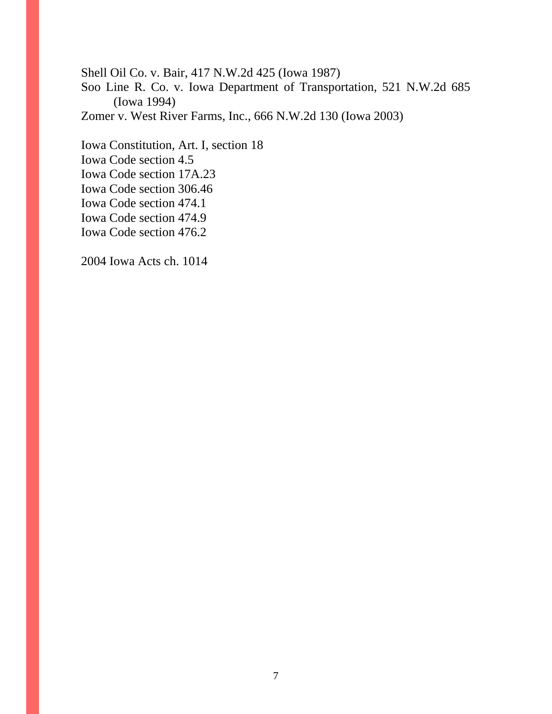Shell Oil Co. v. Bair, 417 N.W.2d 425 (Iowa 1987)

Soo Line R. Co. v. Iowa Department of Transportation, 521 N.W.2d 685 (Iowa 1994)

Zomer v. West River Farms, Inc., 666 N.W.2d 130 (Iowa 2003)

Iowa Constitution, Art. I, section 18 Iowa Code section 4.5 Iowa Code section 17A.23 Iowa Code section 306.46 Iowa Code section 474.1 Iowa Code section 474.9 Iowa Code section 476.2

2004 Iowa Acts ch. 1014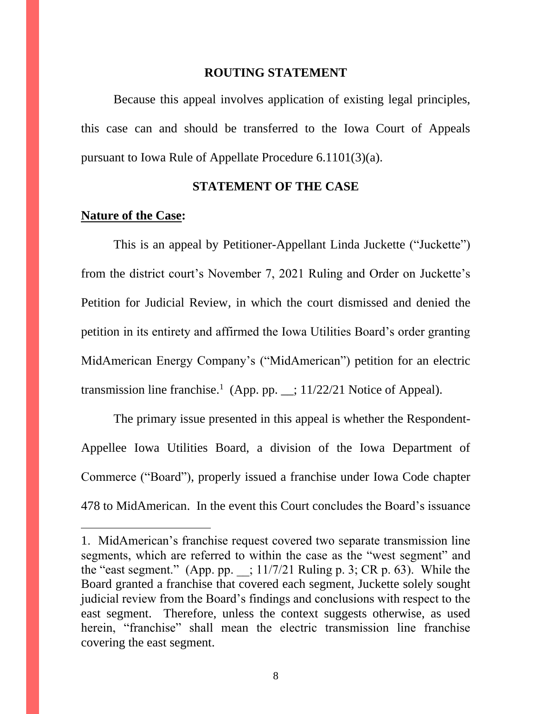#### **ROUTING STATEMENT**

Because this appeal involves application of existing legal principles, this case can and should be transferred to the Iowa Court of Appeals pursuant to Iowa Rule of Appellate Procedure 6.1101(3)(a).

#### **STATEMENT OF THE CASE**

## **Nature of the Case:**

 $\overline{a}$ 

This is an appeal by Petitioner-Appellant Linda Juckette ("Juckette") from the district court's November 7, 2021 Ruling and Order on Juckette's Petition for Judicial Review, in which the court dismissed and denied the petition in its entirety and affirmed the Iowa Utilities Board's order granting MidAmerican Energy Company's ("MidAmerican") petition for an electric transmission line franchise.<sup>1</sup> (App. pp.  $\angle$ ; 11/22/21 Notice of Appeal).

The primary issue presented in this appeal is whether the Respondent-Appellee Iowa Utilities Board, a division of the Iowa Department of Commerce ("Board"), properly issued a franchise under Iowa Code chapter 478 to MidAmerican. In the event this Court concludes the Board's issuance

<sup>1.</sup> MidAmerican's franchise request covered two separate transmission line segments, which are referred to within the case as the "west segment" and the "east segment." (App. pp.  $\;$ ; 11/7/21 Ruling p. 3; CR p. 63). While the Board granted a franchise that covered each segment, Juckette solely sought judicial review from the Board's findings and conclusions with respect to the east segment. Therefore, unless the context suggests otherwise, as used herein, "franchise" shall mean the electric transmission line franchise covering the east segment.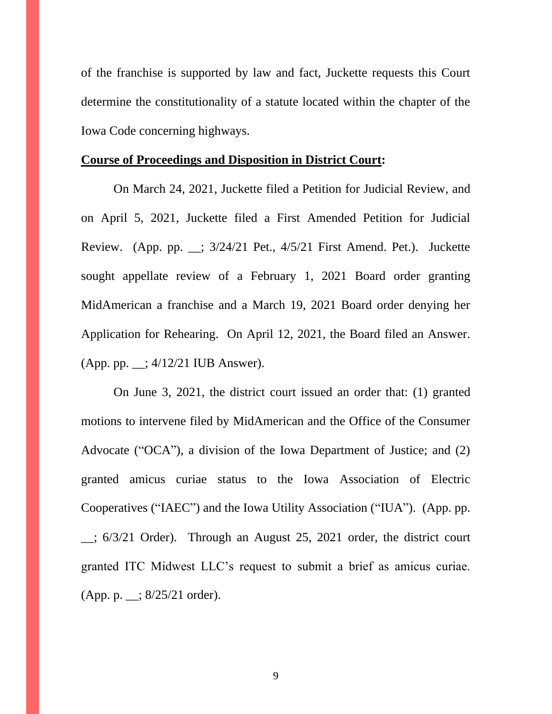of the franchise is supported by law and fact, Juckette requests this Court determine the constitutionality of a statute located within the chapter of the Iowa Code concerning highways.

### **Course of Proceedings and Disposition in District Court:**

On March 24, 2021, Juckette filed a Petition for Judicial Review, and on April 5, 2021, Juckette filed a First Amended Petition for Judicial Review. (App. pp. \_\_; 3/24/21 Pet., 4/5/21 First Amend. Pet.). Juckette sought appellate review of a February 1, 2021 Board order granting MidAmerican a franchise and a March 19, 2021 Board order denying her Application for Rehearing. On April 12, 2021, the Board filed an Answer. (App. pp. \_\_; 4/12/21 IUB Answer).

On June 3, 2021, the district court issued an order that: (1) granted motions to intervene filed by MidAmerican and the Office of the Consumer Advocate ("OCA"), a division of the Iowa Department of Justice; and (2) granted amicus curiae status to the Iowa Association of Electric Cooperatives ("IAEC") and the Iowa Utility Association ("IUA"). (App. pp.  $\therefore$  6/3/21 Order). Through an August 25, 2021 order, the district court granted ITC Midwest LLC's request to submit a brief as amicus curiae. (App. p. \_\_; 8/25/21 order).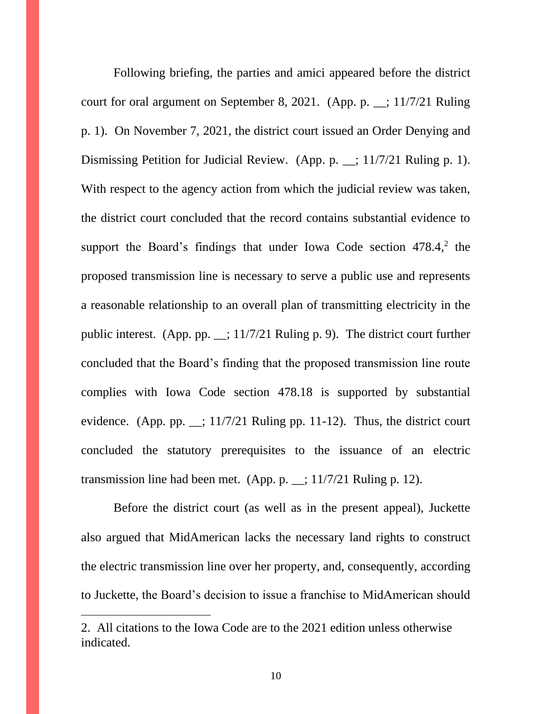Following briefing, the parties and amici appeared before the district court for oral argument on September 8, 2021. (App. p. \_\_; 11/7/21 Ruling p. 1). On November 7, 2021, the district court issued an Order Denying and Dismissing Petition for Judicial Review. (App. p. \_; 11/7/21 Ruling p. 1). With respect to the agency action from which the judicial review was taken, the district court concluded that the record contains substantial evidence to support the Board's findings that under Iowa Code section 478.4,<sup>2</sup> the proposed transmission line is necessary to serve a public use and represents a reasonable relationship to an overall plan of transmitting electricity in the public interest. (App. pp. \_\_; 11/7/21 Ruling p. 9). The district court further concluded that the Board's finding that the proposed transmission line route complies with Iowa Code section 478.18 is supported by substantial evidence. (App. pp.  $\pm$ ; 11/7/21 Ruling pp. 11-12). Thus, the district court concluded the statutory prerequisites to the issuance of an electric transmission line had been met. (App. p. \_\_; 11/7/21 Ruling p. 12).

Before the district court (as well as in the present appeal), Juckette also argued that MidAmerican lacks the necessary land rights to construct the electric transmission line over her property, and, consequently, according to Juckette, the Board's decision to issue a franchise to MidAmerican should

 $\overline{a}$ 

<sup>2.</sup> All citations to the Iowa Code are to the 2021 edition unless otherwise indicated.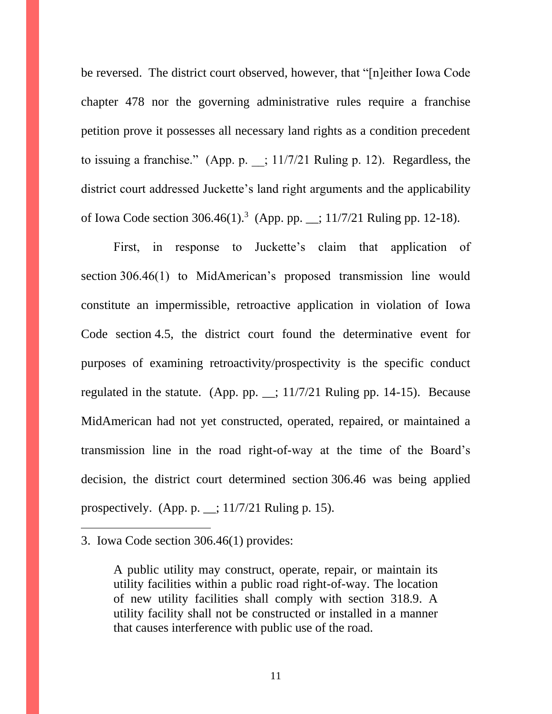be reversed. The district court observed, however, that "[n]either Iowa Code chapter 478 nor the governing administrative rules require a franchise petition prove it possesses all necessary land rights as a condition precedent to issuing a franchise." (App. p.  $\;$ ; 11/7/21 Ruling p. 12). Regardless, the district court addressed Juckette's land right arguments and the applicability of Iowa Code section 306.46(1). 3 (App. pp. \_\_; 11/7/21 Ruling pp. 12-18).

First, in response to Juckette's claim that application of section 306.46(1) to MidAmerican's proposed transmission line would constitute an impermissible, retroactive application in violation of Iowa Code section 4.5, the district court found the determinative event for purposes of examining retroactivity/prospectivity is the specific conduct regulated in the statute. (App. pp.  $\angle$ ; 11/7/21 Ruling pp. 14-15). Because MidAmerican had not yet constructed, operated, repaired, or maintained a transmission line in the road right-of-way at the time of the Board's decision, the district court determined section 306.46 was being applied prospectively. (App. p.  $\_\_$ ; 11/7/21 Ruling p. 15).

 $\overline{a}$ 

<sup>3.</sup> Iowa Code section 306.46(1) provides:

A public utility may construct, operate, repair, or maintain its utility facilities within a public road right-of-way. The location of new utility facilities shall comply with section 318.9. A utility facility shall not be constructed or installed in a manner that causes interference with public use of the road.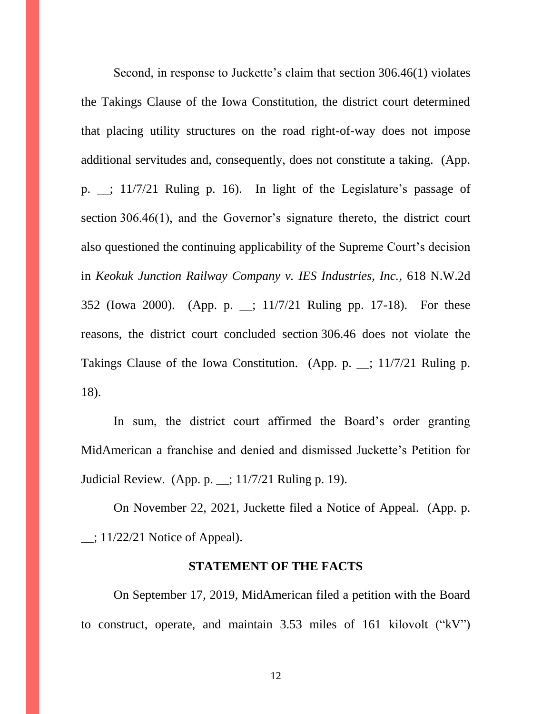Second, in response to Juckette's claim that section 306.46(1) violates the Takings Clause of the Iowa Constitution, the district court determined that placing utility structures on the road right-of-way does not impose additional servitudes and, consequently, does not constitute a taking. (App. p. \_\_; 11/7/21 Ruling p. 16). In light of the Legislature's passage of section 306.46(1), and the Governor's signature thereto, the district court also questioned the continuing applicability of the Supreme Court's decision in *Keokuk Junction Railway Company v. IES Industries, Inc.*, 618 N.W.2d 352 (Iowa 2000). (App. p. \_\_; 11/7/21 Ruling pp. 17-18). For these reasons, the district court concluded section 306.46 does not violate the Takings Clause of the Iowa Constitution. (App. p. \_\_; 11/7/21 Ruling p. 18).

In sum, the district court affirmed the Board's order granting MidAmerican a franchise and denied and dismissed Juckette's Petition for Judicial Review. (App. p. \_\_; 11/7/21 Ruling p. 19).

On November 22, 2021, Juckette filed a Notice of Appeal. (App. p.  $\Box$ ; 11/22/21 Notice of Appeal).

#### **STATEMENT OF THE FACTS**

On September 17, 2019, MidAmerican filed a petition with the Board to construct, operate, and maintain 3.53 miles of 161 kilovolt ("kV")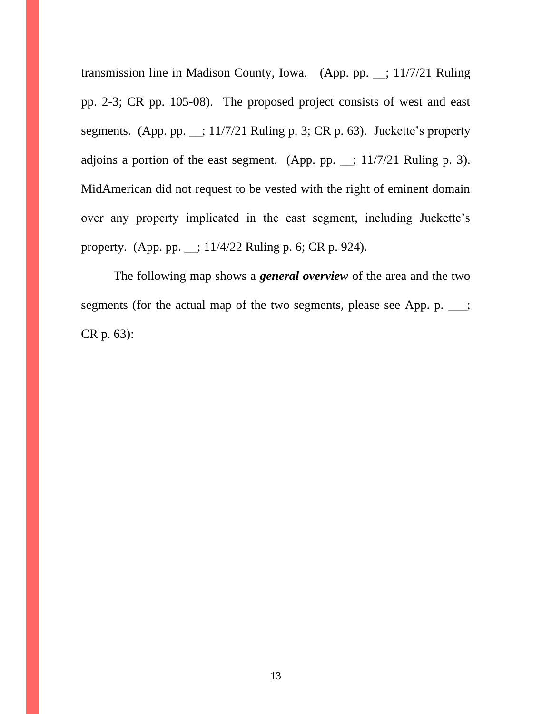transmission line in Madison County, Iowa. (App. pp. \_\_; 11/7/21 Ruling pp. 2-3; CR pp. 105-08). The proposed project consists of west and east segments. (App. pp. \_\_; 11/7/21 Ruling p. 3; CR p. 63). Juckette's property adjoins a portion of the east segment. (App. pp.  $\angle$ ; 11/7/21 Ruling p. 3). MidAmerican did not request to be vested with the right of eminent domain over any property implicated in the east segment, including Juckette's property. (App. pp. \_\_; 11/4/22 Ruling p. 6; CR p. 924).

The following map shows a *general overview* of the area and the two segments (for the actual map of the two segments, please see App. p.  $\_\_$ ; CR p. 63):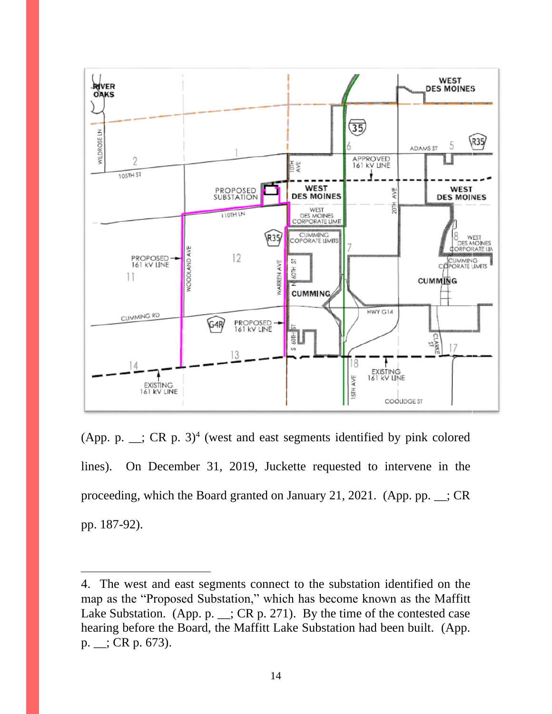

(App. p.  $\ldots$ ; CR p. 3)<sup>4</sup> (west and east segments identified by pink colored lines). On December 31, 2019, Juckette requested to intervene in the proceeding, which the Board granted on January 21, 2021. (App. pp. \_\_; CR pp. 187-92).

 $\overline{a}$ 

<sup>4.</sup> The west and east segments connect to the substation identified on the map as the "Proposed Substation," which has become known as the Maffitt Lake Substation. (App. p.  $\angle$ ; CR p. 271). By the time of the contested case hearing before the Board, the Maffitt Lake Substation had been built. (App. p. \_\_; CR p. 673).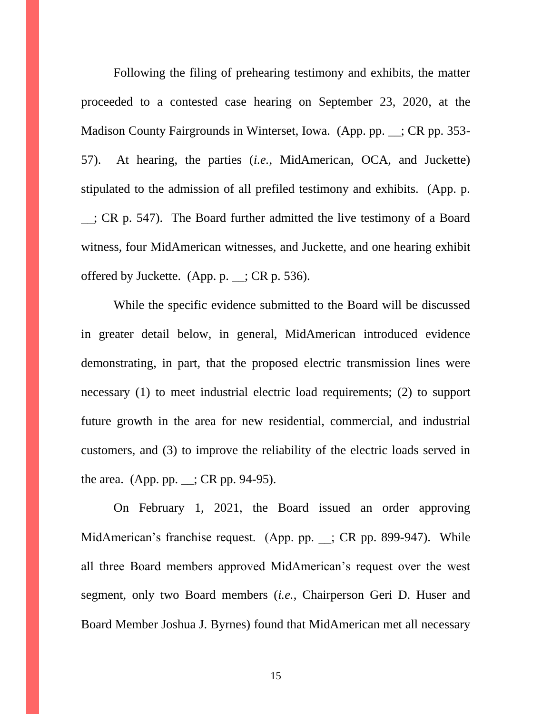Following the filing of prehearing testimony and exhibits, the matter proceeded to a contested case hearing on September 23, 2020, at the Madison County Fairgrounds in Winterset, Iowa. (App. pp. \_\_; CR pp. 353-57). At hearing, the parties (*i.e.*, MidAmerican, OCA, and Juckette) stipulated to the admission of all prefiled testimony and exhibits. (App. p. \_\_; CR p. 547). The Board further admitted the live testimony of a Board witness, four MidAmerican witnesses, and Juckette, and one hearing exhibit offered by Juckette. (App. p. \_\_; CR p. 536).

While the specific evidence submitted to the Board will be discussed in greater detail below, in general, MidAmerican introduced evidence demonstrating, in part, that the proposed electric transmission lines were necessary (1) to meet industrial electric load requirements; (2) to support future growth in the area for new residential, commercial, and industrial customers, and (3) to improve the reliability of the electric loads served in the area. (App. pp. \_\_; CR pp. 94-95).

On February 1, 2021, the Board issued an order approving MidAmerican's franchise request. (App. pp. ; CR pp. 899-947). While all three Board members approved MidAmerican's request over the west segment, only two Board members (*i.e.*, Chairperson Geri D. Huser and Board Member Joshua J. Byrnes) found that MidAmerican met all necessary

15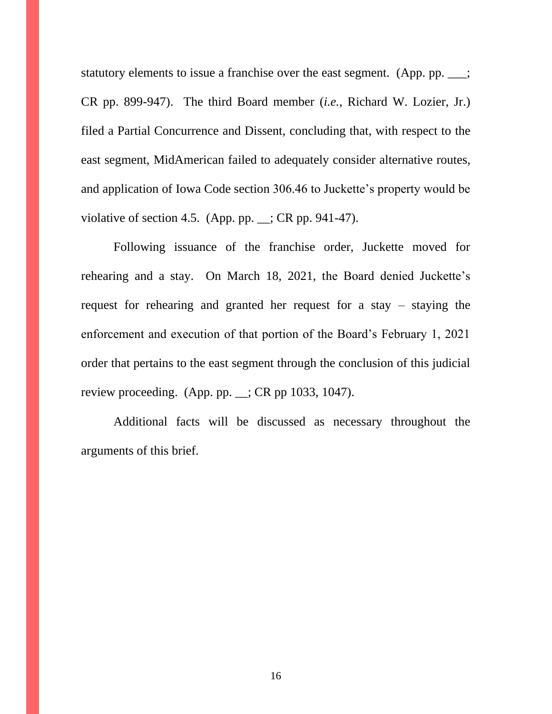statutory elements to issue a franchise over the east segment. (App. pp.  $\_\_$ ; CR pp. 899-947). The third Board member (*i.e.*, Richard W. Lozier, Jr.) filed a Partial Concurrence and Dissent, concluding that, with respect to the east segment, MidAmerican failed to adequately consider alternative routes, and application of Iowa Code section 306.46 to Juckette's property would be violative of section 4.5. (App. pp.  $\angle$ ; CR pp. 941-47).

Following issuance of the franchise order, Juckette moved for rehearing and a stay. On March 18, 2021, the Board denied Juckette's request for rehearing and granted her request for a stay – staying the enforcement and execution of that portion of the Board's February 1, 2021 order that pertains to the east segment through the conclusion of this judicial review proceeding. (App. pp.  $\angle$ ; CR pp 1033, 1047).

Additional facts will be discussed as necessary throughout the arguments of this brief.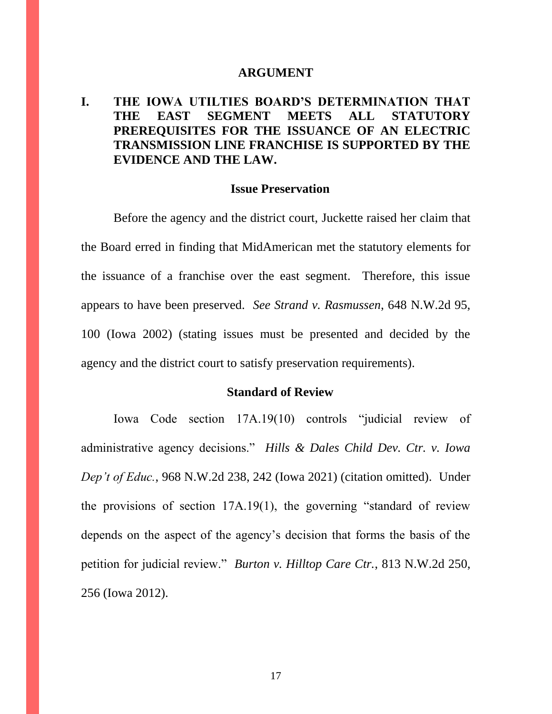#### **ARGUMENT**

# **I. THE IOWA UTILTIES BOARD'S DETERMINATION THAT THE EAST SEGMENT MEETS ALL STATUTORY PREREQUISITES FOR THE ISSUANCE OF AN ELECTRIC TRANSMISSION LINE FRANCHISE IS SUPPORTED BY THE EVIDENCE AND THE LAW.**

#### **Issue Preservation**

Before the agency and the district court, Juckette raised her claim that the Board erred in finding that MidAmerican met the statutory elements for the issuance of a franchise over the east segment. Therefore, this issue appears to have been preserved. *See Strand v. Rasmussen*, 648 N.W.2d 95, 100 (Iowa 2002) (stating issues must be presented and decided by the agency and the district court to satisfy preservation requirements).

#### **Standard of Review**

Iowa Code section 17A.19(10) controls "judicial review of administrative agency decisions." *Hills & Dales Child Dev. Ctr. v. Iowa Dep't of Educ.*, 968 N.W.2d 238, 242 (Iowa 2021) (citation omitted). Under the provisions of section 17A.19(1), the governing "standard of review depends on the aspect of the agency's decision that forms the basis of the petition for judicial review." *Burton v. Hilltop Care Ctr.*, 813 N.W.2d 250, 256 (Iowa 2012).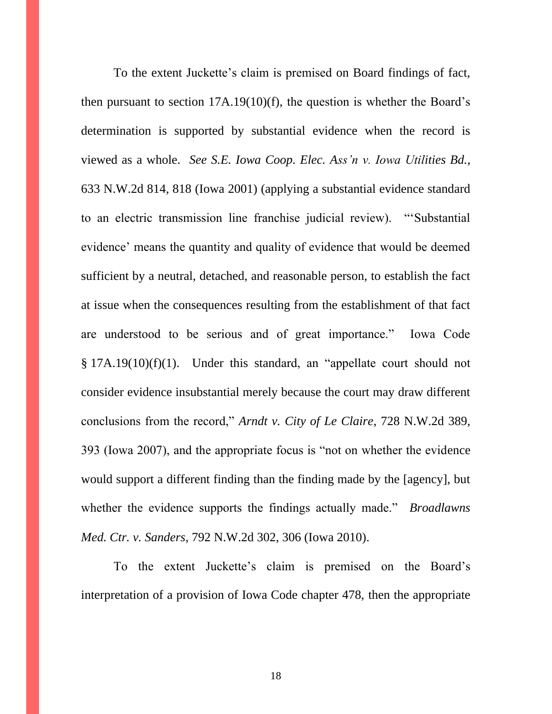To the extent Juckette's claim is premised on Board findings of fact, then pursuant to section 17A.19(10)(f), the question is whether the Board's determination is supported by substantial evidence when the record is viewed as a whole. *See S.E. Iowa Coop. Elec. Ass'n v. Iowa Utilities Bd.*, 633 N.W.2d 814, 818 (Iowa 2001) (applying a substantial evidence standard to an electric transmission line franchise judicial review). "'Substantial evidence' means the quantity and quality of evidence that would be deemed sufficient by a neutral, detached, and reasonable person, to establish the fact at issue when the consequences resulting from the establishment of that fact are understood to be serious and of great importance." Iowa Code § 17A.19(10)(f)(1). Under this standard, an "appellate court should not consider evidence insubstantial merely because the court may draw different conclusions from the record," *Arndt v. City of Le Claire*, 728 N.W.2d 389, 393 (Iowa 2007), and the appropriate focus is "not on whether the evidence would support a different finding than the finding made by the [agency], but whether the evidence supports the findings actually made." *Broadlawns Med. Ctr. v. Sanders*, 792 N.W.2d 302, 306 (Iowa 2010).

To the extent Juckette's claim is premised on the Board's interpretation of a provision of Iowa Code chapter 478, then the appropriate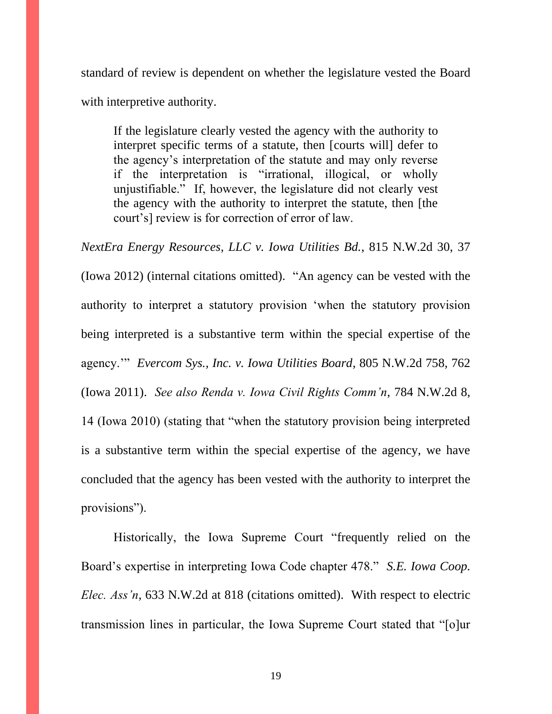standard of review is dependent on whether the legislature vested the Board with interpretive authority.

If the legislature clearly vested the agency with the authority to interpret specific terms of a statute, then [courts will] defer to the agency's interpretation of the statute and may only reverse if the interpretation is "irrational, illogical, or wholly unjustifiable." If, however, the legislature did not clearly vest the agency with the authority to interpret the statute, then [the court's] review is for correction of error of law.

*NextEra Energy Resources, LLC v. Iowa Utilities Bd.*, 815 N.W.2d 30, 37 (Iowa 2012) (internal citations omitted). "An agency can be vested with the authority to interpret a statutory provision 'when the statutory provision being interpreted is a substantive term within the special expertise of the agency.'" *Evercom Sys., Inc. v. Iowa Utilities Board*, 805 N.W.2d 758, 762 (Iowa 2011). *See also Renda v. Iowa Civil Rights Comm'n*, 784 N.W.2d 8, 14 (Iowa 2010) (stating that "when the statutory provision being interpreted is a substantive term within the special expertise of the agency, we have concluded that the agency has been vested with the authority to interpret the provisions").

Historically, the Iowa Supreme Court "frequently relied on the Board's expertise in interpreting Iowa Code chapter 478." *S.E. Iowa Coop. Elec. Ass'n*, 633 N.W.2d at 818 (citations omitted). With respect to electric transmission lines in particular, the Iowa Supreme Court stated that "[o]ur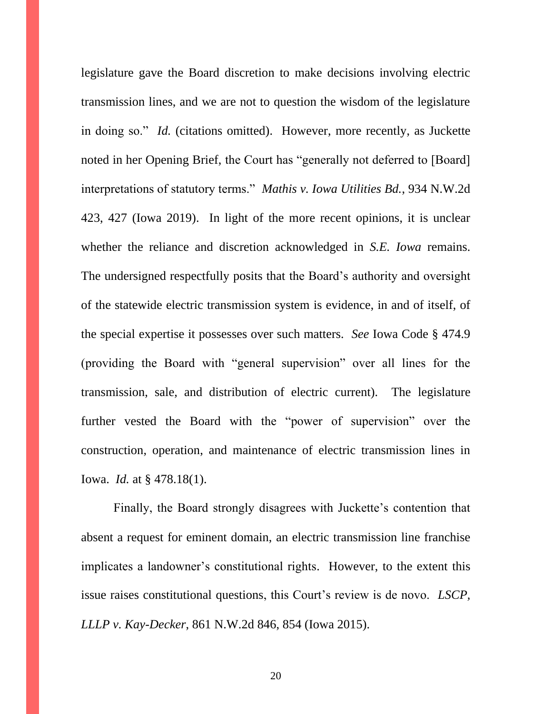legislature gave the Board discretion to make decisions involving electric transmission lines, and we are not to question the wisdom of the legislature in doing so." *Id.* (citations omitted). However, more recently, as Juckette noted in her Opening Brief, the Court has "generally not deferred to [Board] interpretations of statutory terms." *Mathis v. Iowa Utilities Bd.*, 934 N.W.2d 423, 427 (Iowa 2019). In light of the more recent opinions, it is unclear whether the reliance and discretion acknowledged in *S.E. Iowa* remains. The undersigned respectfully posits that the Board's authority and oversight of the statewide electric transmission system is evidence, in and of itself, of the special expertise it possesses over such matters. *See* Iowa Code § 474.9 (providing the Board with "general supervision" over all lines for the transmission, sale, and distribution of electric current). The legislature further vested the Board with the "power of supervision" over the construction, operation, and maintenance of electric transmission lines in Iowa. *Id.* at § 478.18(1).

Finally, the Board strongly disagrees with Juckette's contention that absent a request for eminent domain, an electric transmission line franchise implicates a landowner's constitutional rights. However, to the extent this issue raises constitutional questions, this Court's review is de novo. *LSCP, LLLP v. Kay-Decker*, 861 N.W.2d 846, 854 (Iowa 2015).

20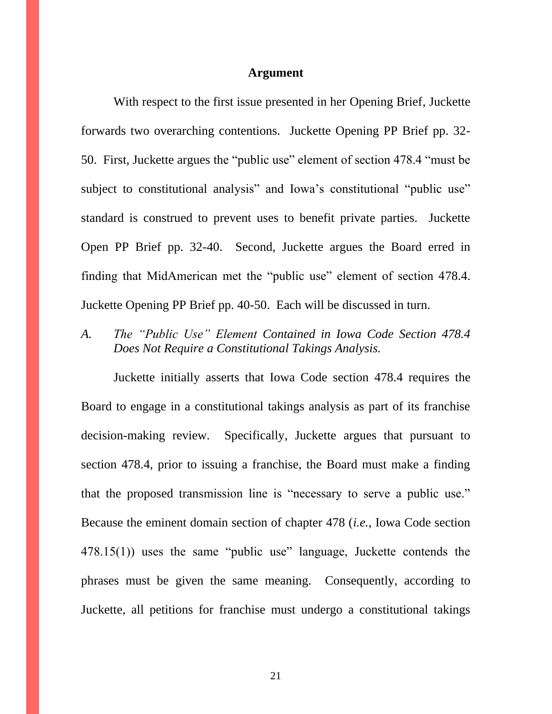#### **Argument**

With respect to the first issue presented in her Opening Brief, Juckette forwards two overarching contentions. Juckette Opening PP Brief pp. 32- 50. First, Juckette argues the "public use" element of section 478.4 "must be subject to constitutional analysis" and Iowa's constitutional "public use" standard is construed to prevent uses to benefit private parties. Juckette Open PP Brief pp. 32-40. Second, Juckette argues the Board erred in finding that MidAmerican met the "public use" element of section 478.4. Juckette Opening PP Brief pp. 40-50. Each will be discussed in turn.

*A. The "Public Use" Element Contained in Iowa Code Section 478.4 Does Not Require a Constitutional Takings Analysis.*

Juckette initially asserts that Iowa Code section 478.4 requires the Board to engage in a constitutional takings analysis as part of its franchise decision-making review. Specifically, Juckette argues that pursuant to section 478.4, prior to issuing a franchise, the Board must make a finding that the proposed transmission line is "necessary to serve a public use." Because the eminent domain section of chapter 478 (*i.e.*, Iowa Code section 478.15(1)) uses the same "public use" language, Juckette contends the phrases must be given the same meaning. Consequently, according to Juckette, all petitions for franchise must undergo a constitutional takings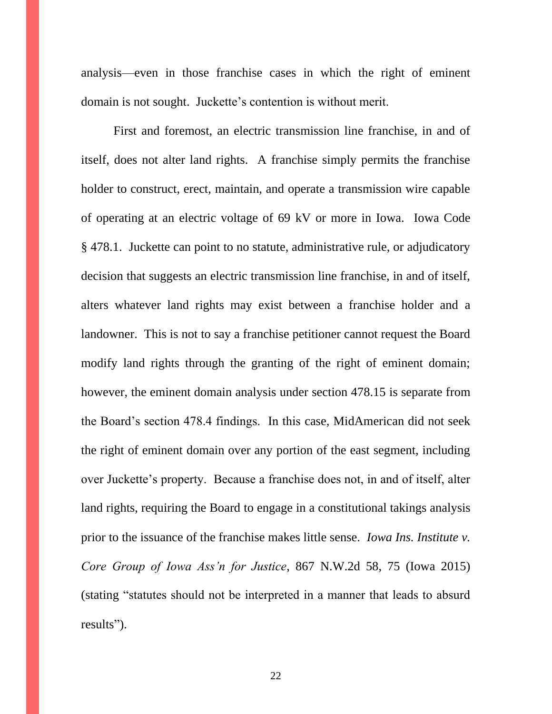analysis—even in those franchise cases in which the right of eminent domain is not sought. Juckette's contention is without merit.

First and foremost, an electric transmission line franchise, in and of itself, does not alter land rights. A franchise simply permits the franchise holder to construct, erect, maintain, and operate a transmission wire capable of operating at an electric voltage of 69 kV or more in Iowa. Iowa Code § 478.1. Juckette can point to no statute, administrative rule, or adjudicatory decision that suggests an electric transmission line franchise, in and of itself, alters whatever land rights may exist between a franchise holder and a landowner. This is not to say a franchise petitioner cannot request the Board modify land rights through the granting of the right of eminent domain; however, the eminent domain analysis under section 478.15 is separate from the Board's section 478.4 findings. In this case, MidAmerican did not seek the right of eminent domain over any portion of the east segment, including over Juckette's property. Because a franchise does not, in and of itself, alter land rights, requiring the Board to engage in a constitutional takings analysis prior to the issuance of the franchise makes little sense. *Iowa Ins. Institute v. Core Group of Iowa Ass'n for Justice*, 867 N.W.2d 58, 75 (Iowa 2015) (stating "statutes should not be interpreted in a manner that leads to absurd results").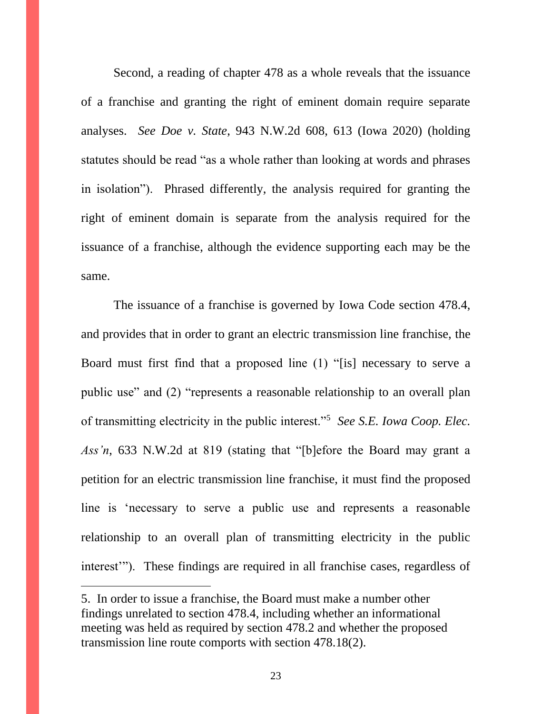Second, a reading of chapter 478 as a whole reveals that the issuance of a franchise and granting the right of eminent domain require separate analyses. *See Doe v. State*, 943 N.W.2d 608, 613 (Iowa 2020) (holding statutes should be read "as a whole rather than looking at words and phrases in isolation"). Phrased differently, the analysis required for granting the right of eminent domain is separate from the analysis required for the issuance of a franchise, although the evidence supporting each may be the same.

The issuance of a franchise is governed by Iowa Code section 478.4, and provides that in order to grant an electric transmission line franchise, the Board must first find that a proposed line (1) "[is] necessary to serve a public use" and (2) "represents a reasonable relationship to an overall plan of transmitting electricity in the public interest."<sup>5</sup> *See S.E. Iowa Coop. Elec. Ass'n*, 633 N.W.2d at 819 (stating that "[b]efore the Board may grant a petition for an electric transmission line franchise, it must find the proposed line is 'necessary to serve a public use and represents a reasonable relationship to an overall plan of transmitting electricity in the public interest'"). These findings are required in all franchise cases, regardless of

 $\overline{a}$ 

<sup>5.</sup> In order to issue a franchise, the Board must make a number other findings unrelated to section 478.4, including whether an informational meeting was held as required by section 478.2 and whether the proposed transmission line route comports with section 478.18(2).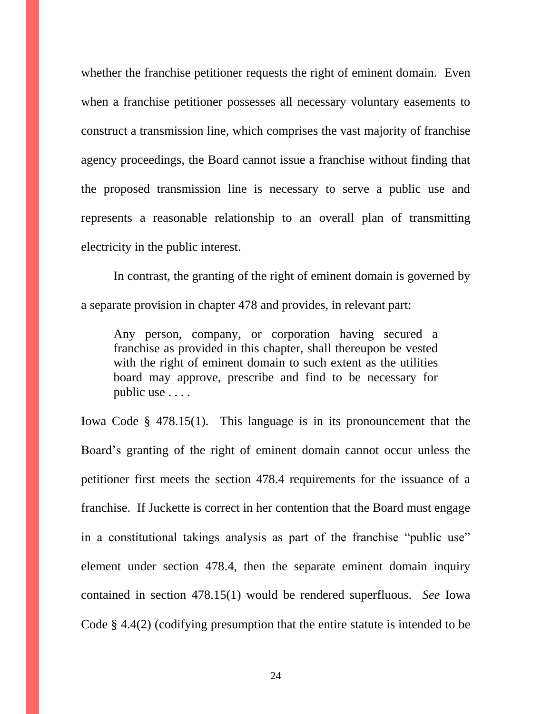whether the franchise petitioner requests the right of eminent domain. Even when a franchise petitioner possesses all necessary voluntary easements to construct a transmission line, which comprises the vast majority of franchise agency proceedings, the Board cannot issue a franchise without finding that the proposed transmission line is necessary to serve a public use and represents a reasonable relationship to an overall plan of transmitting electricity in the public interest.

In contrast, the granting of the right of eminent domain is governed by a separate provision in chapter 478 and provides, in relevant part:

Any person, company, or corporation having secured a franchise as provided in this chapter, shall thereupon be vested with the right of eminent domain to such extent as the utilities board may approve, prescribe and find to be necessary for public use . . . .

Iowa Code § 478.15(1). This language is in its pronouncement that the Board's granting of the right of eminent domain cannot occur unless the petitioner first meets the section 478.4 requirements for the issuance of a franchise. If Juckette is correct in her contention that the Board must engage in a constitutional takings analysis as part of the franchise "public use" element under section 478.4, then the separate eminent domain inquiry contained in section 478.15(1) would be rendered superfluous. *See* Iowa Code § 4.4(2) (codifying presumption that the entire statute is intended to be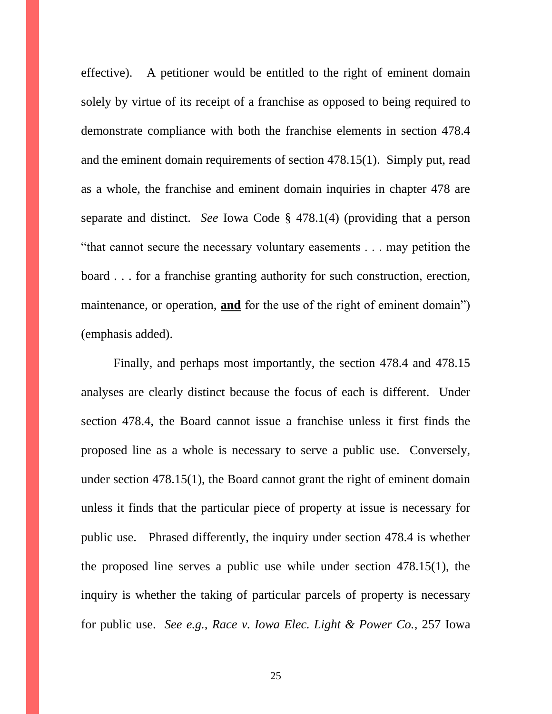effective). A petitioner would be entitled to the right of eminent domain solely by virtue of its receipt of a franchise as opposed to being required to demonstrate compliance with both the franchise elements in section 478.4 and the eminent domain requirements of section 478.15(1). Simply put, read as a whole, the franchise and eminent domain inquiries in chapter 478 are separate and distinct. *See* Iowa Code § 478.1(4) (providing that a person "that cannot secure the necessary voluntary easements . . . may petition the board . . . for a franchise granting authority for such construction, erection, maintenance, or operation, **and** for the use of the right of eminent domain") (emphasis added).

Finally, and perhaps most importantly, the section 478.4 and 478.15 analyses are clearly distinct because the focus of each is different. Under section 478.4, the Board cannot issue a franchise unless it first finds the proposed line as a whole is necessary to serve a public use. Conversely, under section 478.15(1), the Board cannot grant the right of eminent domain unless it finds that the particular piece of property at issue is necessary for public use. Phrased differently, the inquiry under section 478.4 is whether the proposed line serves a public use while under section 478.15(1), the inquiry is whether the taking of particular parcels of property is necessary for public use. *See e.g., Race v. Iowa Elec. Light & Power Co.*, 257 Iowa

25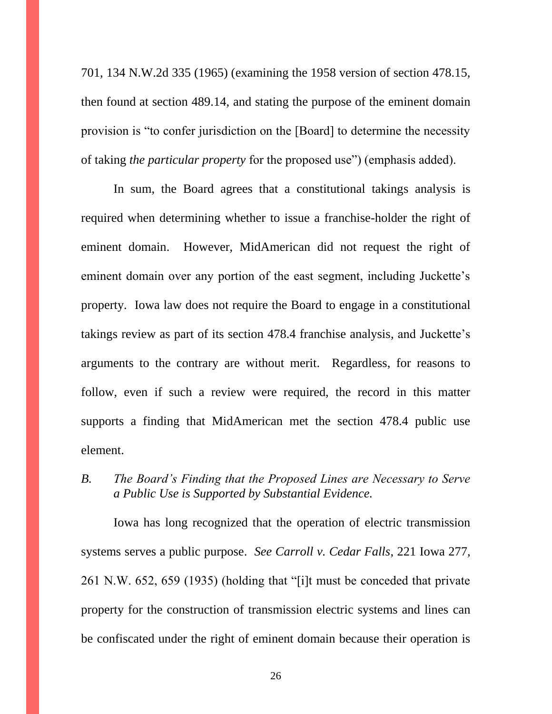701, 134 N.W.2d 335 (1965) (examining the 1958 version of section 478.15, then found at section 489.14, and stating the purpose of the eminent domain provision is "to confer jurisdiction on the [Board] to determine the necessity of taking *the particular property* for the proposed use") (emphasis added).

In sum, the Board agrees that a constitutional takings analysis is required when determining whether to issue a franchise-holder the right of eminent domain. However, MidAmerican did not request the right of eminent domain over any portion of the east segment, including Juckette's property. Iowa law does not require the Board to engage in a constitutional takings review as part of its section 478.4 franchise analysis, and Juckette's arguments to the contrary are without merit. Regardless, for reasons to follow, even if such a review were required, the record in this matter supports a finding that MidAmerican met the section 478.4 public use element.

*B. The Board's Finding that the Proposed Lines are Necessary to Serve a Public Use is Supported by Substantial Evidence.*

Iowa has long recognized that the operation of electric transmission systems serves a public purpose. *See Carroll v. Cedar Falls*, 221 Iowa 277, 261 N.W. 652, 659 (1935) (holding that "[i]t must be conceded that private property for the construction of transmission electric systems and lines can be confiscated under the right of eminent domain because their operation is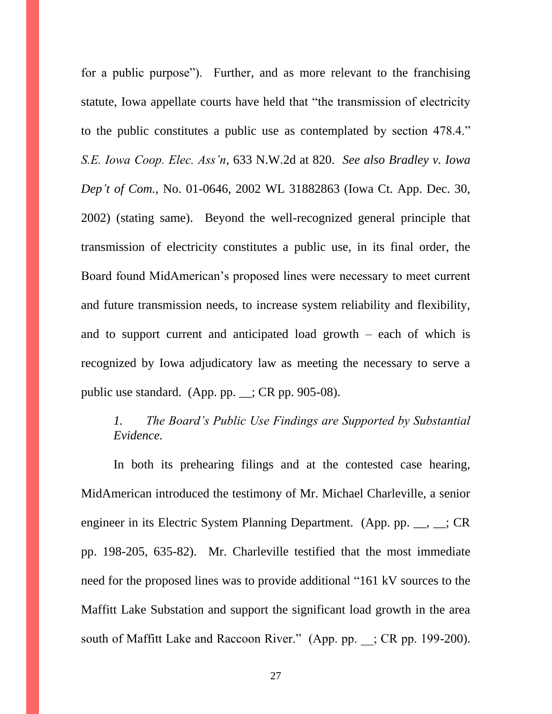for a public purpose"). Further, and as more relevant to the franchising statute, Iowa appellate courts have held that "the transmission of electricity to the public constitutes a public use as contemplated by section 478.4." *S.E. Iowa Coop. Elec. Ass'n*, 633 N.W.2d at 820. *See also Bradley v. Iowa Dep't of Com.*, No. 01-0646, 2002 WL 31882863 (Iowa Ct. App. Dec. 30, 2002) (stating same). Beyond the well-recognized general principle that transmission of electricity constitutes a public use, in its final order, the Board found MidAmerican's proposed lines were necessary to meet current and future transmission needs, to increase system reliability and flexibility, and to support current and anticipated load growth – each of which is recognized by Iowa adjudicatory law as meeting the necessary to serve a public use standard. (App. pp. \_\_; CR pp. 905-08).

# *1. The Board's Public Use Findings are Supported by Substantial Evidence.*

In both its prehearing filings and at the contested case hearing, MidAmerican introduced the testimony of Mr. Michael Charleville, a senior engineer in its Electric System Planning Department. (App. pp. \_\_, \_\_; CR pp. 198-205, 635-82). Mr. Charleville testified that the most immediate need for the proposed lines was to provide additional "161 kV sources to the Maffitt Lake Substation and support the significant load growth in the area south of Maffitt Lake and Raccoon River." (App. pp. ; CR pp. 199-200).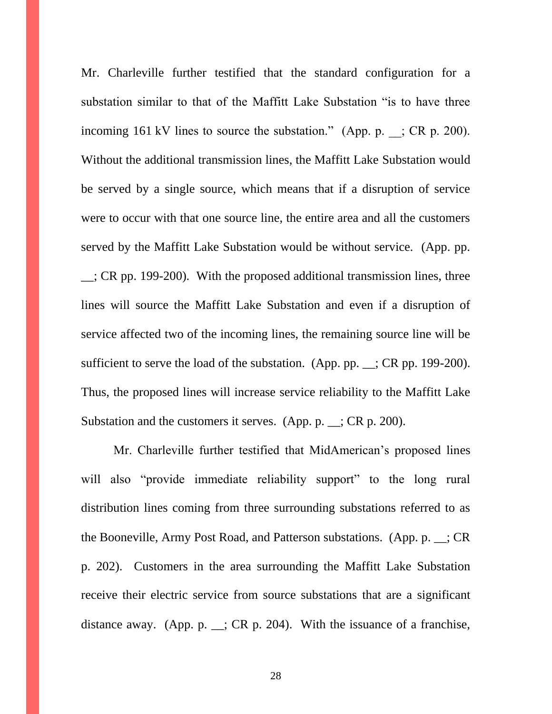Mr. Charleville further testified that the standard configuration for a substation similar to that of the Maffitt Lake Substation "is to have three incoming 161 kV lines to source the substation." (App. p.  $\therefore$  CR p. 200). Without the additional transmission lines, the Maffitt Lake Substation would be served by a single source, which means that if a disruption of service were to occur with that one source line, the entire area and all the customers served by the Maffitt Lake Substation would be without service. (App. pp. \_\_; CR pp. 199-200). With the proposed additional transmission lines, three lines will source the Maffitt Lake Substation and even if a disruption of service affected two of the incoming lines, the remaining source line will be sufficient to serve the load of the substation. (App. pp. \_\_; CR pp. 199-200). Thus, the proposed lines will increase service reliability to the Maffitt Lake Substation and the customers it serves. (App. p. \_\_; CR p. 200).

Mr. Charleville further testified that MidAmerican's proposed lines will also "provide immediate reliability support" to the long rural distribution lines coming from three surrounding substations referred to as the Booneville, Army Post Road, and Patterson substations. (App. p. \_\_; CR p. 202). Customers in the area surrounding the Maffitt Lake Substation receive their electric service from source substations that are a significant distance away. (App. p.  $\angle$ ; CR p. 204). With the issuance of a franchise,

28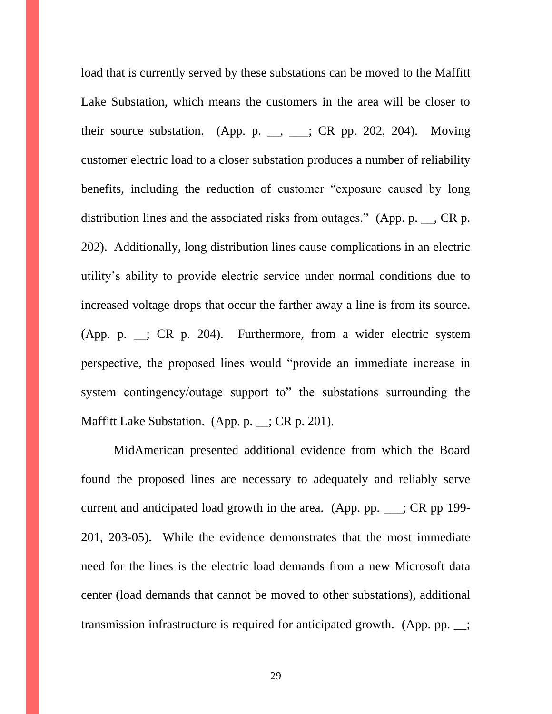load that is currently served by these substations can be moved to the Maffitt Lake Substation, which means the customers in the area will be closer to their source substation. (App. p.  $\_\_$ ,  $\_\_$ ; CR pp. 202, 204). Moving customer electric load to a closer substation produces a number of reliability benefits, including the reduction of customer "exposure caused by long distribution lines and the associated risks from outages." (App. p. \_\_, CR p. 202). Additionally, long distribution lines cause complications in an electric utility's ability to provide electric service under normal conditions due to increased voltage drops that occur the farther away a line is from its source. (App. p. \_\_; CR p. 204). Furthermore, from a wider electric system perspective, the proposed lines would "provide an immediate increase in system contingency/outage support to" the substations surrounding the Maffitt Lake Substation. (App. p. \_; CR p. 201).

MidAmerican presented additional evidence from which the Board found the proposed lines are necessary to adequately and reliably serve current and anticipated load growth in the area. (App. pp. \_\_\_; CR pp 199- 201, 203-05). While the evidence demonstrates that the most immediate need for the lines is the electric load demands from a new Microsoft data center (load demands that cannot be moved to other substations), additional transmission infrastructure is required for anticipated growth. (App. pp. \_\_;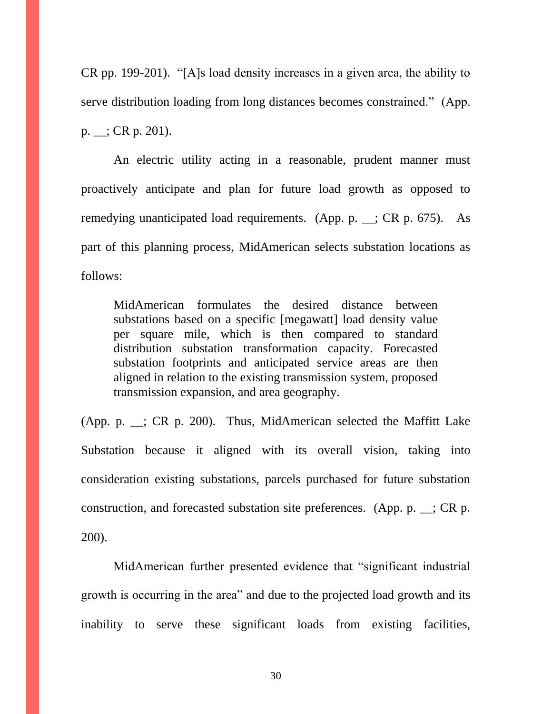CR pp. 199-201). "[A]s load density increases in a given area, the ability to serve distribution loading from long distances becomes constrained." (App.  $p.$   $\therefore$  CR p. 201).

An electric utility acting in a reasonable, prudent manner must proactively anticipate and plan for future load growth as opposed to remedying unanticipated load requirements. (App. p. \_\_; CR p. 675). As part of this planning process, MidAmerican selects substation locations as follows:

MidAmerican formulates the desired distance between substations based on a specific [megawatt] load density value per square mile, which is then compared to standard distribution substation transformation capacity. Forecasted substation footprints and anticipated service areas are then aligned in relation to the existing transmission system, proposed transmission expansion, and area geography.

(App. p. \_\_; CR p. 200). Thus, MidAmerican selected the Maffitt Lake Substation because it aligned with its overall vision, taking into consideration existing substations, parcels purchased for future substation construction, and forecasted substation site preferences. (App. p.  $\_\_$ ; CR p. 200).

MidAmerican further presented evidence that "significant industrial growth is occurring in the area" and due to the projected load growth and its inability to serve these significant loads from existing facilities,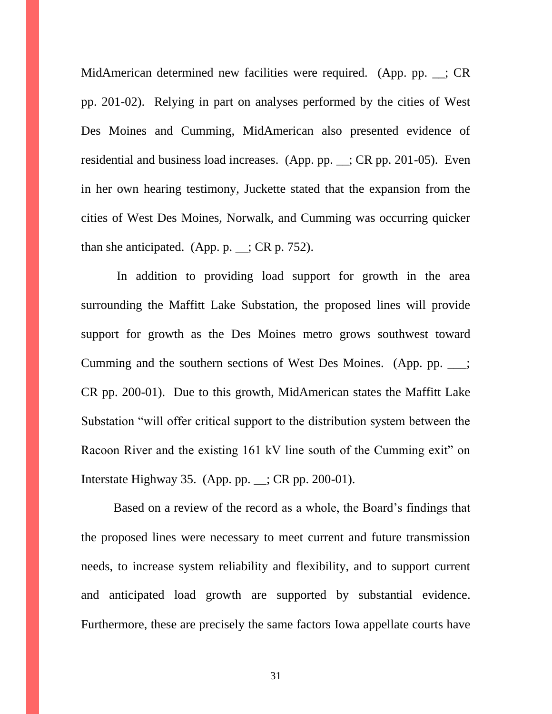MidAmerican determined new facilities were required. (App. pp. \_\_; CR pp. 201-02). Relying in part on analyses performed by the cities of West Des Moines and Cumming, MidAmerican also presented evidence of residential and business load increases. (App. pp. \_\_; CR pp. 201-05). Even in her own hearing testimony, Juckette stated that the expansion from the cities of West Des Moines, Norwalk, and Cumming was occurring quicker than she anticipated. (App. p.  $\angle$ ; CR p. 752).

In addition to providing load support for growth in the area surrounding the Maffitt Lake Substation, the proposed lines will provide support for growth as the Des Moines metro grows southwest toward Cumming and the southern sections of West Des Moines. (App. pp. \_\_\_; CR pp. 200-01). Due to this growth, MidAmerican states the Maffitt Lake Substation "will offer critical support to the distribution system between the Racoon River and the existing 161 kV line south of the Cumming exit" on Interstate Highway 35. (App. pp. \_\_; CR pp. 200-01).

Based on a review of the record as a whole, the Board's findings that the proposed lines were necessary to meet current and future transmission needs, to increase system reliability and flexibility, and to support current and anticipated load growth are supported by substantial evidence. Furthermore, these are precisely the same factors Iowa appellate courts have

31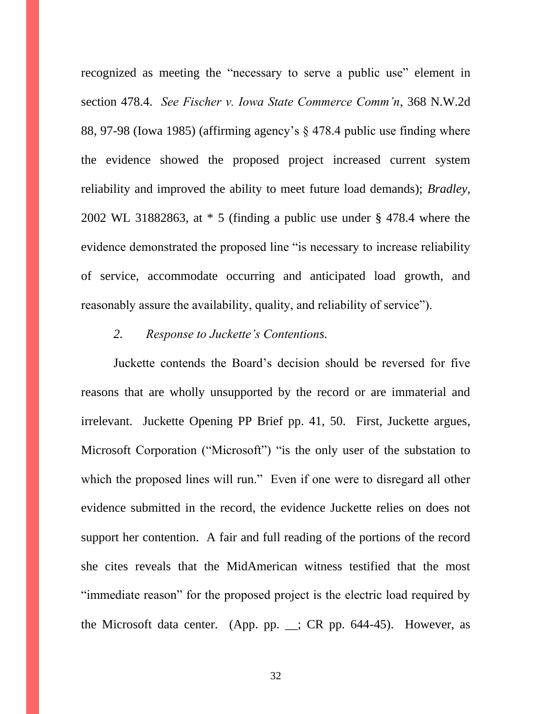recognized as meeting the "necessary to serve a public use" element in section 478.4. *See Fischer v. Iowa State Commerce Comm'n*, 368 N.W.2d 88, 97-98 (Iowa 1985) (affirming agency's § 478.4 public use finding where the evidence showed the proposed project increased current system reliability and improved the ability to meet future load demands); *Bradley*, 2002 WL 31882863, at \* 5 (finding a public use under § 478.4 where the evidence demonstrated the proposed line "is necessary to increase reliability of service, accommodate occurring and anticipated load growth, and reasonably assure the availability, quality, and reliability of service").

### *2. Response to Juckette's Contentions.*

Juckette contends the Board's decision should be reversed for five reasons that are wholly unsupported by the record or are immaterial and irrelevant. Juckette Opening PP Brief pp. 41, 50. First, Juckette argues, Microsoft Corporation ("Microsoft") "is the only user of the substation to which the proposed lines will run." Even if one were to disregard all other evidence submitted in the record, the evidence Juckette relies on does not support her contention. A fair and full reading of the portions of the record she cites reveals that the MidAmerican witness testified that the most "immediate reason" for the proposed project is the electric load required by the Microsoft data center. (App. pp.  $\therefore$  CR pp. 644-45). However, as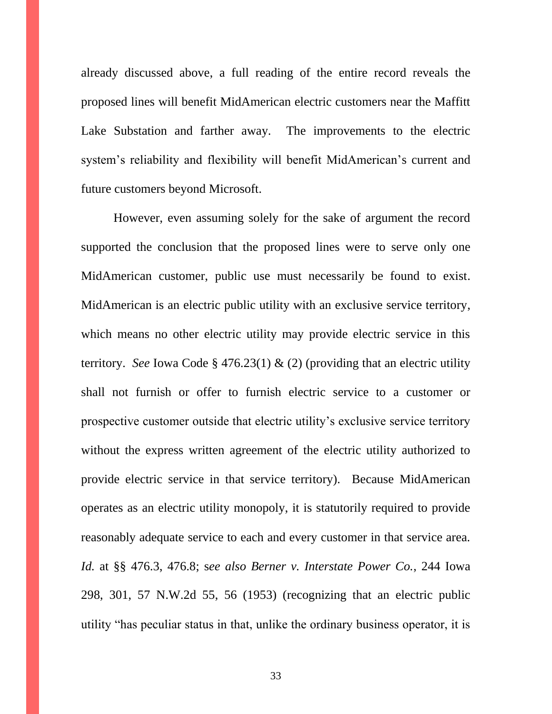already discussed above, a full reading of the entire record reveals the proposed lines will benefit MidAmerican electric customers near the Maffitt Lake Substation and farther away. The improvements to the electric system's reliability and flexibility will benefit MidAmerican's current and future customers beyond Microsoft.

However, even assuming solely for the sake of argument the record supported the conclusion that the proposed lines were to serve only one MidAmerican customer, public use must necessarily be found to exist. MidAmerican is an electric public utility with an exclusive service territory, which means no other electric utility may provide electric service in this territory. *See* Iowa Code § 476.23(1) & (2) (providing that an electric utility shall not furnish or offer to furnish electric service to a customer or prospective customer outside that electric utility's exclusive service territory without the express written agreement of the electric utility authorized to provide electric service in that service territory). Because MidAmerican operates as an electric utility monopoly, it is statutorily required to provide reasonably adequate service to each and every customer in that service area. *Id.* at §§ 476.3, 476.8; s*ee also Berner v. Interstate Power Co.*, 244 Iowa 298, 301, 57 N.W.2d 55, 56 (1953) (recognizing that an electric public utility "has peculiar status in that, unlike the ordinary business operator, it is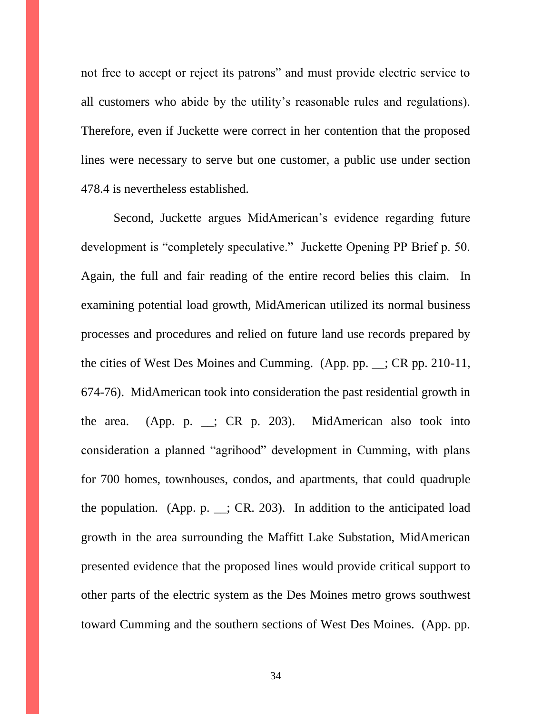not free to accept or reject its patrons" and must provide electric service to all customers who abide by the utility's reasonable rules and regulations). Therefore, even if Juckette were correct in her contention that the proposed lines were necessary to serve but one customer, a public use under section 478.4 is nevertheless established.

Second, Juckette argues MidAmerican's evidence regarding future development is "completely speculative." Juckette Opening PP Brief p. 50. Again, the full and fair reading of the entire record belies this claim. In examining potential load growth, MidAmerican utilized its normal business processes and procedures and relied on future land use records prepared by the cities of West Des Moines and Cumming. (App. pp. \_\_; CR pp. 210-11, 674-76). MidAmerican took into consideration the past residential growth in the area. (App. p. \_\_; CR p. 203). MidAmerican also took into consideration a planned "agrihood" development in Cumming, with plans for 700 homes, townhouses, condos, and apartments, that could quadruple the population. (App. p.  $\therefore$  CR. 203). In addition to the anticipated load growth in the area surrounding the Maffitt Lake Substation, MidAmerican presented evidence that the proposed lines would provide critical support to other parts of the electric system as the Des Moines metro grows southwest toward Cumming and the southern sections of West Des Moines. (App. pp.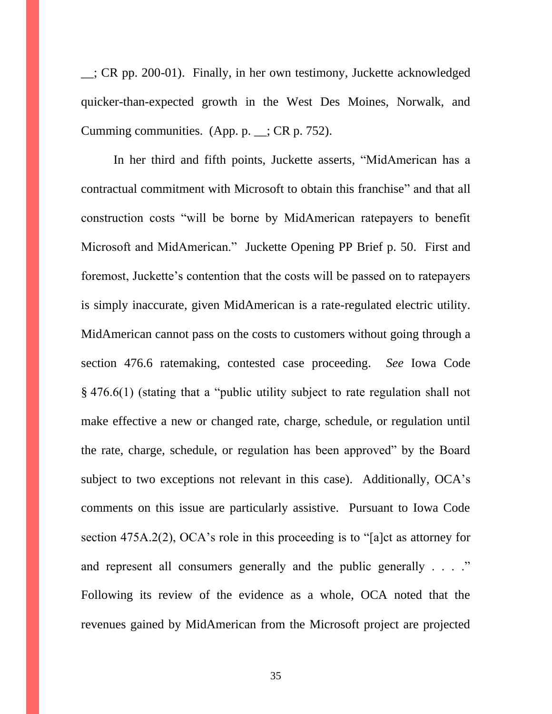\_\_; CR pp. 200-01). Finally, in her own testimony, Juckette acknowledged quicker-than-expected growth in the West Des Moines, Norwalk, and Cumming communities. (App. p. \_\_; CR p. 752).

In her third and fifth points, Juckette asserts, "MidAmerican has a contractual commitment with Microsoft to obtain this franchise" and that all construction costs "will be borne by MidAmerican ratepayers to benefit Microsoft and MidAmerican." Juckette Opening PP Brief p. 50. First and foremost, Juckette's contention that the costs will be passed on to ratepayers is simply inaccurate, given MidAmerican is a rate-regulated electric utility. MidAmerican cannot pass on the costs to customers without going through a section 476.6 ratemaking, contested case proceeding. *See* Iowa Code § 476.6(1) (stating that a "public utility subject to rate regulation shall not make effective a new or changed rate, charge, schedule, or regulation until the rate, charge, schedule, or regulation has been approved" by the Board subject to two exceptions not relevant in this case). Additionally, OCA's comments on this issue are particularly assistive. Pursuant to Iowa Code section 475A.2(2), OCA's role in this proceeding is to "[a]ct as attorney for and represent all consumers generally and the public generally . . . ." Following its review of the evidence as a whole, OCA noted that the revenues gained by MidAmerican from the Microsoft project are projected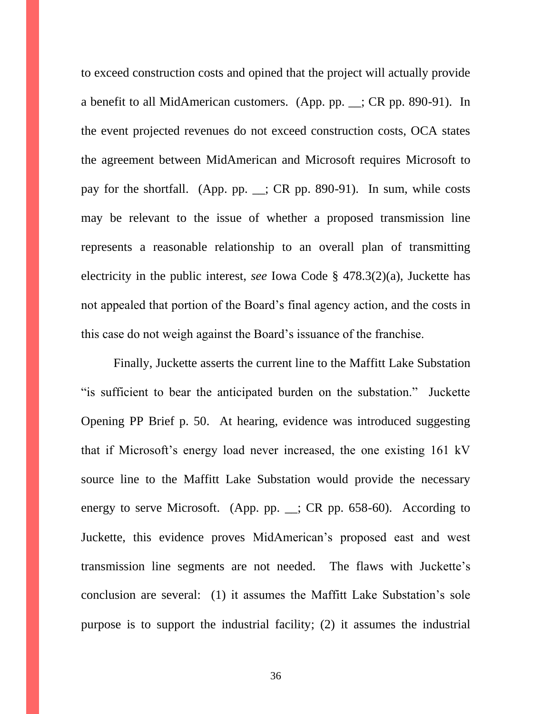to exceed construction costs and opined that the project will actually provide a benefit to all MidAmerican customers. (App. pp. \_\_; CR pp. 890-91). In the event projected revenues do not exceed construction costs, OCA states the agreement between MidAmerican and Microsoft requires Microsoft to pay for the shortfall. (App. pp. \_\_; CR pp. 890-91). In sum, while costs may be relevant to the issue of whether a proposed transmission line represents a reasonable relationship to an overall plan of transmitting electricity in the public interest, *see* Iowa Code § 478.3(2)(a), Juckette has not appealed that portion of the Board's final agency action, and the costs in this case do not weigh against the Board's issuance of the franchise.

Finally, Juckette asserts the current line to the Maffitt Lake Substation "is sufficient to bear the anticipated burden on the substation." Juckette Opening PP Brief p. 50. At hearing, evidence was introduced suggesting that if Microsoft's energy load never increased, the one existing 161 kV source line to the Maffitt Lake Substation would provide the necessary energy to serve Microsoft. (App. pp. \_\_; CR pp. 658-60). According to Juckette, this evidence proves MidAmerican's proposed east and west transmission line segments are not needed. The flaws with Juckette's conclusion are several: (1) it assumes the Maffitt Lake Substation's sole purpose is to support the industrial facility; (2) it assumes the industrial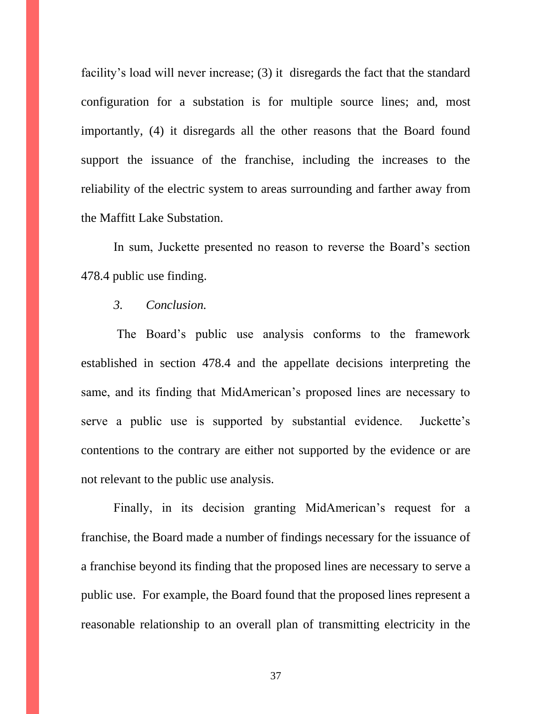facility's load will never increase; (3) it disregards the fact that the standard configuration for a substation is for multiple source lines; and, most importantly, (4) it disregards all the other reasons that the Board found support the issuance of the franchise, including the increases to the reliability of the electric system to areas surrounding and farther away from the Maffitt Lake Substation.

In sum, Juckette presented no reason to reverse the Board's section 478.4 public use finding.

### *3. Conclusion.*

The Board's public use analysis conforms to the framework established in section 478.4 and the appellate decisions interpreting the same, and its finding that MidAmerican's proposed lines are necessary to serve a public use is supported by substantial evidence. Juckette's contentions to the contrary are either not supported by the evidence or are not relevant to the public use analysis.

Finally, in its decision granting MidAmerican's request for a franchise, the Board made a number of findings necessary for the issuance of a franchise beyond its finding that the proposed lines are necessary to serve a public use. For example, the Board found that the proposed lines represent a reasonable relationship to an overall plan of transmitting electricity in the

37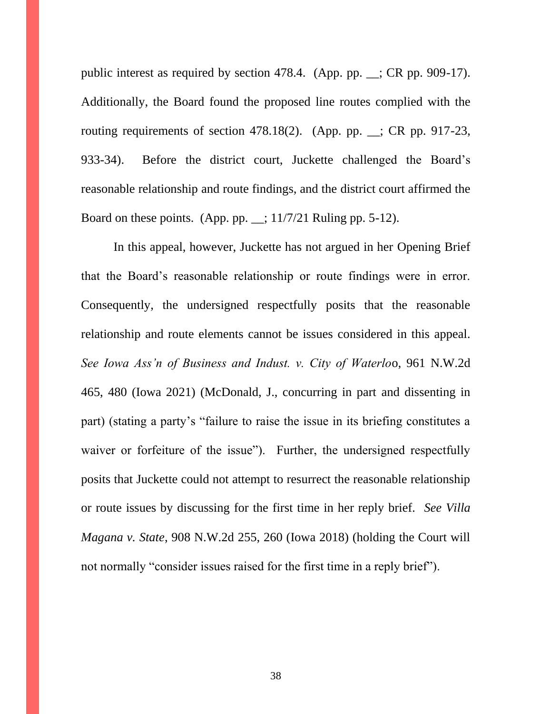public interest as required by section 478.4. (App. pp. \_\_; CR pp. 909-17). Additionally, the Board found the proposed line routes complied with the routing requirements of section 478.18(2). (App. pp. \_\_; CR pp. 917-23, 933-34). Before the district court, Juckette challenged the Board's reasonable relationship and route findings, and the district court affirmed the Board on these points. (App. pp.  $\angle$ ; 11/7/21 Ruling pp. 5-12).

In this appeal, however, Juckette has not argued in her Opening Brief that the Board's reasonable relationship or route findings were in error. Consequently, the undersigned respectfully posits that the reasonable relationship and route elements cannot be issues considered in this appeal. *See Iowa Ass'n of Business and Indust. v. City of Waterlo*o, 961 N.W.2d 465, 480 (Iowa 2021) (McDonald, J., concurring in part and dissenting in part) (stating a party's "failure to raise the issue in its briefing constitutes a waiver or forfeiture of the issue"). Further, the undersigned respectfully posits that Juckette could not attempt to resurrect the reasonable relationship or route issues by discussing for the first time in her reply brief. *See Villa Magana v. State*, 908 N.W.2d 255, 260 (Iowa 2018) (holding the Court will not normally "consider issues raised for the first time in a reply brief").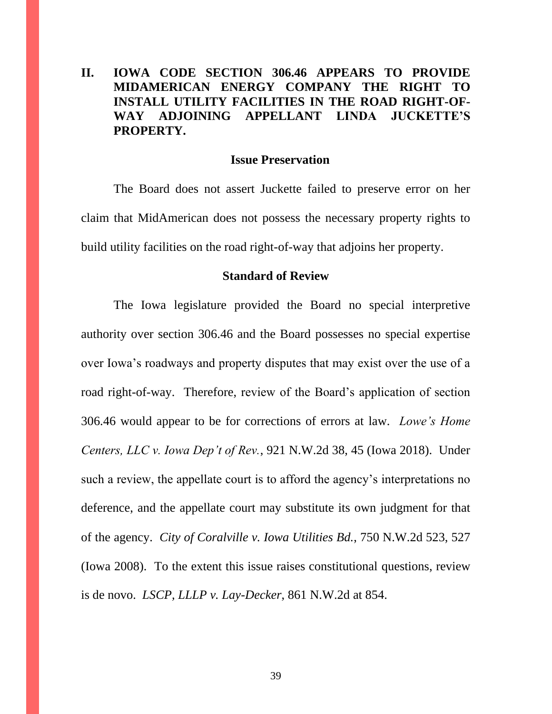# **II. IOWA CODE SECTION 306.46 APPEARS TO PROVIDE MIDAMERICAN ENERGY COMPANY THE RIGHT TO INSTALL UTILITY FACILITIES IN THE ROAD RIGHT-OF-WAY ADJOINING APPELLANT LINDA JUCKETTE'S PROPERTY.**

#### **Issue Preservation**

The Board does not assert Juckette failed to preserve error on her claim that MidAmerican does not possess the necessary property rights to build utility facilities on the road right-of-way that adjoins her property.

#### **Standard of Review**

The Iowa legislature provided the Board no special interpretive authority over section 306.46 and the Board possesses no special expertise over Iowa's roadways and property disputes that may exist over the use of a road right-of-way. Therefore, review of the Board's application of section 306.46 would appear to be for corrections of errors at law. *Lowe's Home Centers, LLC v. Iowa Dep't of Rev.*, 921 N.W.2d 38, 45 (Iowa 2018). Under such a review, the appellate court is to afford the agency's interpretations no deference, and the appellate court may substitute its own judgment for that of the agency. *City of Coralville v. Iowa Utilities Bd.*, 750 N.W.2d 523, 527 (Iowa 2008). To the extent this issue raises constitutional questions, review is de novo. *LSCP, LLLP v. Lay-Decker*, 861 N.W.2d at 854.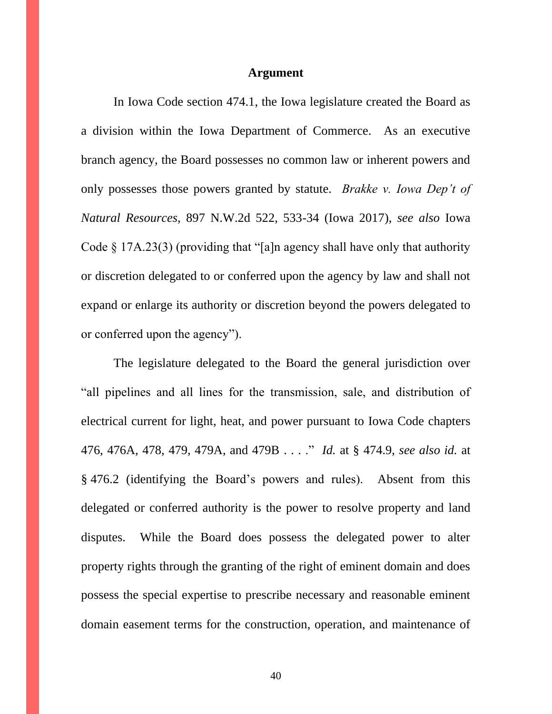#### **Argument**

In Iowa Code section 474.1, the Iowa legislature created the Board as a division within the Iowa Department of Commerce. As an executive branch agency, the Board possesses no common law or inherent powers and only possesses those powers granted by statute. *Brakke v. Iowa Dep't of Natural Resources*, 897 N.W.2d 522, 533-34 (Iowa 2017), *see also* Iowa Code § 17A.23(3) (providing that "[a]n agency shall have only that authority or discretion delegated to or conferred upon the agency by law and shall not expand or enlarge its authority or discretion beyond the powers delegated to or conferred upon the agency").

The legislature delegated to the Board the general jurisdiction over "all pipelines and all lines for the transmission, sale, and distribution of electrical current for light, heat, and power pursuant to Iowa Code chapters 476, 476A, 478, 479, 479A, and 479B . . . ." *Id.* at § 474.9, *see also id.* at § 476.2 (identifying the Board's powers and rules). Absent from this delegated or conferred authority is the power to resolve property and land disputes. While the Board does possess the delegated power to alter property rights through the granting of the right of eminent domain and does possess the special expertise to prescribe necessary and reasonable eminent domain easement terms for the construction, operation, and maintenance of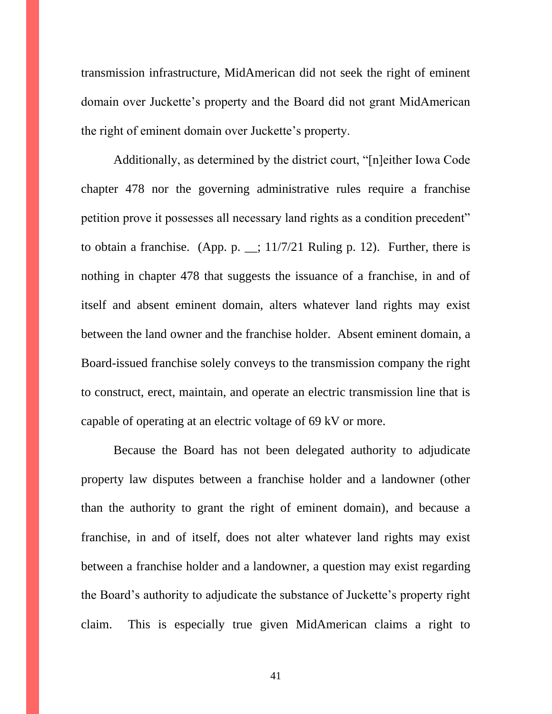transmission infrastructure, MidAmerican did not seek the right of eminent domain over Juckette's property and the Board did not grant MidAmerican the right of eminent domain over Juckette's property.

Additionally, as determined by the district court, "[n]either Iowa Code chapter 478 nor the governing administrative rules require a franchise petition prove it possesses all necessary land rights as a condition precedent" to obtain a franchise. (App. p.  $\angle$ ; 11/7/21 Ruling p. 12). Further, there is nothing in chapter 478 that suggests the issuance of a franchise, in and of itself and absent eminent domain, alters whatever land rights may exist between the land owner and the franchise holder. Absent eminent domain, a Board-issued franchise solely conveys to the transmission company the right to construct, erect, maintain, and operate an electric transmission line that is capable of operating at an electric voltage of 69 kV or more.

Because the Board has not been delegated authority to adjudicate property law disputes between a franchise holder and a landowner (other than the authority to grant the right of eminent domain), and because a franchise, in and of itself, does not alter whatever land rights may exist between a franchise holder and a landowner, a question may exist regarding the Board's authority to adjudicate the substance of Juckette's property right claim. This is especially true given MidAmerican claims a right to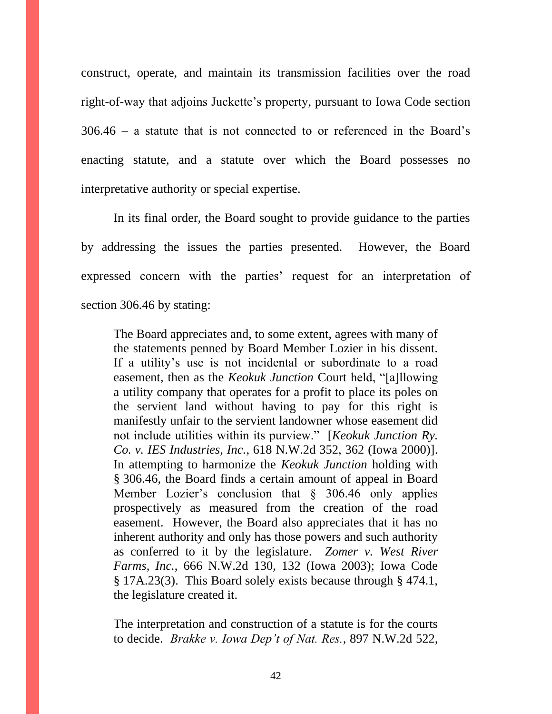construct, operate, and maintain its transmission facilities over the road right-of-way that adjoins Juckette's property, pursuant to Iowa Code section 306.46 – a statute that is not connected to or referenced in the Board's enacting statute, and a statute over which the Board possesses no interpretative authority or special expertise.

In its final order, the Board sought to provide guidance to the parties by addressing the issues the parties presented. However, the Board expressed concern with the parties' request for an interpretation of section 306.46 by stating:

The Board appreciates and, to some extent, agrees with many of the statements penned by Board Member Lozier in his dissent. If a utility's use is not incidental or subordinate to a road easement, then as the *Keokuk Junction* Court held, "[a]llowing a utility company that operates for a profit to place its poles on the servient land without having to pay for this right is manifestly unfair to the servient landowner whose easement did not include utilities within its purview." [*Keokuk Junction Ry. Co. v. IES Industries, Inc.*, 618 N.W.2d 352, 362 (Iowa 2000)]. In attempting to harmonize the *Keokuk Junction* holding with § 306.46, the Board finds a certain amount of appeal in Board Member Lozier's conclusion that § 306.46 only applies prospectively as measured from the creation of the road easement. However, the Board also appreciates that it has no inherent authority and only has those powers and such authority as conferred to it by the legislature. *Zomer v. West River Farms, Inc.*, 666 N.W.2d 130, 132 (Iowa 2003); Iowa Code § 17A.23(3). This Board solely exists because through § 474.1, the legislature created it.

The interpretation and construction of a statute is for the courts to decide. *Brakke v. Iowa Dep't of Nat. Res.*, 897 N.W.2d 522,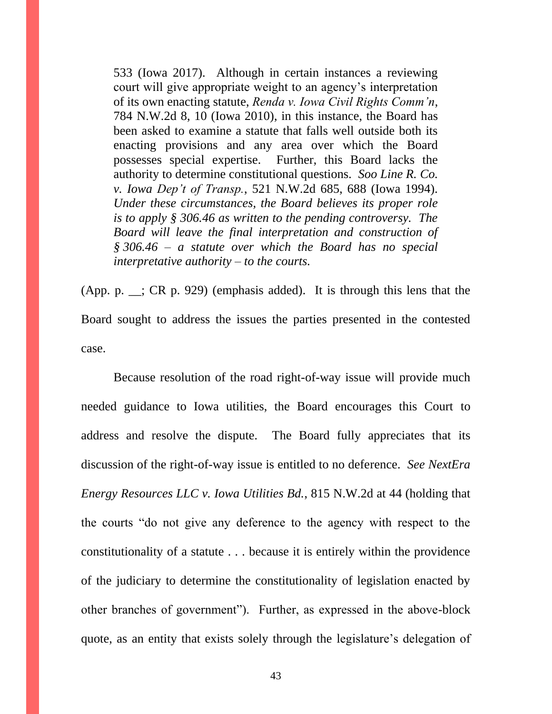533 (Iowa 2017). Although in certain instances a reviewing court will give appropriate weight to an agency's interpretation of its own enacting statute, *Renda v. Iowa Civil Rights Comm'n*, 784 N.W.2d 8, 10 (Iowa 2010), in this instance, the Board has been asked to examine a statute that falls well outside both its enacting provisions and any area over which the Board possesses special expertise. Further, this Board lacks the authority to determine constitutional questions. *Soo Line R. Co. v. Iowa Dep't of Transp.*, 521 N.W.2d 685, 688 (Iowa 1994). *Under these circumstances, the Board believes its proper role is to apply § 306.46 as written to the pending controversy. The Board will leave the final interpretation and construction of § 306.46 – a statute over which the Board has no special interpretative authority – to the courts.*

(App. p. \_\_; CR p. 929) (emphasis added). It is through this lens that the Board sought to address the issues the parties presented in the contested case.

Because resolution of the road right-of-way issue will provide much needed guidance to Iowa utilities, the Board encourages this Court to address and resolve the dispute. The Board fully appreciates that its discussion of the right-of-way issue is entitled to no deference. *See NextEra Energy Resources LLC v. Iowa Utilities Bd.*, 815 N.W.2d at 44 (holding that the courts "do not give any deference to the agency with respect to the constitutionality of a statute . . . because it is entirely within the providence of the judiciary to determine the constitutionality of legislation enacted by other branches of government"). Further, as expressed in the above-block quote, as an entity that exists solely through the legislature's delegation of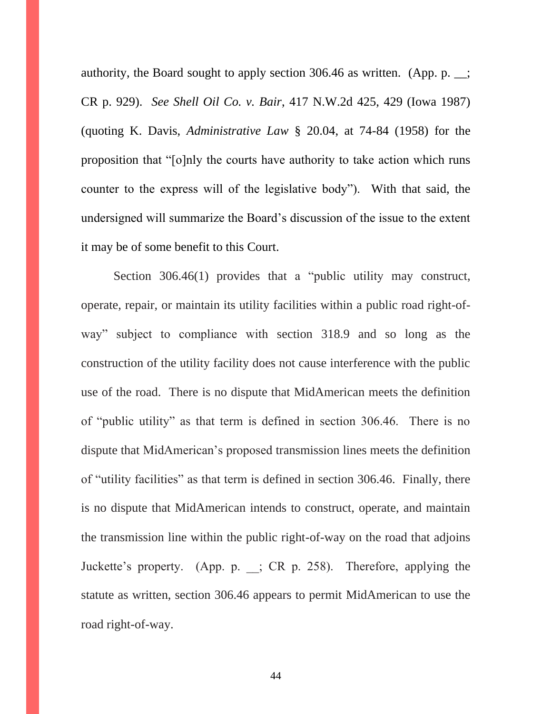authority, the Board sought to apply section 306.46 as written. (App. p. \_\_; CR p. 929). *See Shell Oil Co. v. Bair*, 417 N.W.2d 425, 429 (Iowa 1987) (quoting K. Davis, *Administrative Law* § 20.04, at 74-84 (1958) for the proposition that "[o]nly the courts have authority to take action which runs counter to the express will of the legislative body"). With that said, the undersigned will summarize the Board's discussion of the issue to the extent it may be of some benefit to this Court.

Section 306.46(1) provides that a "public utility may construct, operate, repair, or maintain its utility facilities within a public road right-ofway" subject to compliance with section 318.9 and so long as the construction of the utility facility does not cause interference with the public use of the road. There is no dispute that MidAmerican meets the definition of "public utility" as that term is defined in section 306.46. There is no dispute that MidAmerican's proposed transmission lines meets the definition of "utility facilities" as that term is defined in section 306.46. Finally, there is no dispute that MidAmerican intends to construct, operate, and maintain the transmission line within the public right-of-way on the road that adjoins Juckette's property. (App. p. \_\_; CR p. 258). Therefore, applying the statute as written, section 306.46 appears to permit MidAmerican to use the road right-of-way.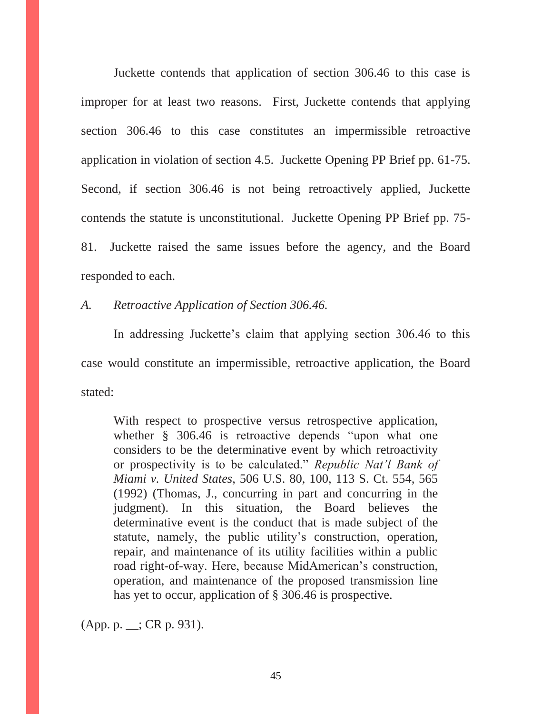Juckette contends that application of section 306.46 to this case is improper for at least two reasons. First, Juckette contends that applying section 306.46 to this case constitutes an impermissible retroactive application in violation of section 4.5. Juckette Opening PP Brief pp. 61-75. Second, if section 306.46 is not being retroactively applied, Juckette contends the statute is unconstitutional. Juckette Opening PP Brief pp. 75- 81. Juckette raised the same issues before the agency, and the Board responded to each.

*A. Retroactive Application of Section 306.46.*

In addressing Juckette's claim that applying section 306.46 to this case would constitute an impermissible, retroactive application, the Board stated:

With respect to prospective versus retrospective application, whether § 306.46 is retroactive depends "upon what one considers to be the determinative event by which retroactivity or prospectivity is to be calculated." *Republic Nat'l Bank of Miami v. United States*, 506 U.S. 80, 100, 113 S. Ct. 554, 565 (1992) (Thomas, J., concurring in part and concurring in the judgment). In this situation, the Board believes the determinative event is the conduct that is made subject of the statute, namely, the public utility's construction, operation, repair, and maintenance of its utility facilities within a public road right-of-way. Here, because MidAmerican's construction, operation, and maintenance of the proposed transmission line has yet to occur, application of § 306.46 is prospective.

(App. p. \_\_; CR p. 931).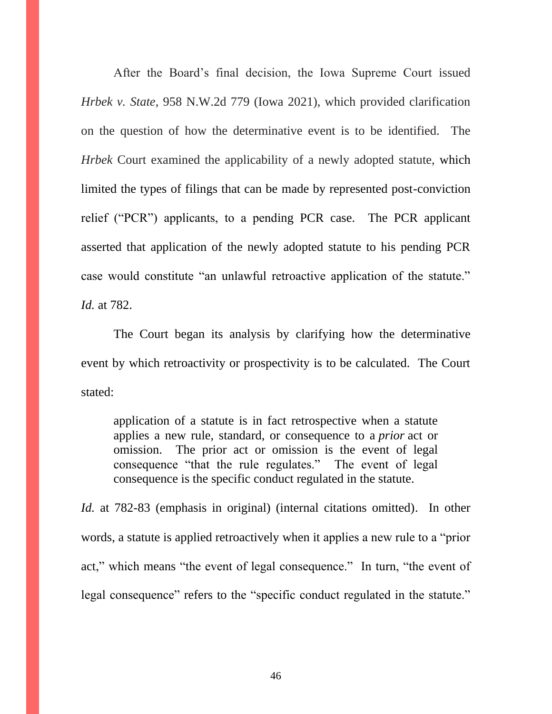After the Board's final decision, the Iowa Supreme Court issued *Hrbek v. State*, 958 N.W.2d 779 (Iowa 2021), which provided clarification on the question of how the determinative event is to be identified. The *Hrbek* Court examined the applicability of a newly adopted statute, which limited the types of filings that can be made by represented post-conviction relief ("PCR") applicants, to a pending PCR case. The PCR applicant asserted that application of the newly adopted statute to his pending PCR case would constitute "an unlawful retroactive application of the statute." *Id.* at 782.

The Court began its analysis by clarifying how the determinative event by which retroactivity or prospectivity is to be calculated. The Court stated:

application of a statute is in fact retrospective when a statute applies a new rule, standard, or consequence to a *prior* act or omission. The prior act or omission is the event of legal consequence "that the rule regulates." The event of legal consequence is the specific conduct regulated in the statute.

*Id.* at 782-83 (emphasis in original) (internal citations omitted). In other words, a statute is applied retroactively when it applies a new rule to a "prior act," which means "the event of legal consequence." In turn, "the event of legal consequence" refers to the "specific conduct regulated in the statute."

46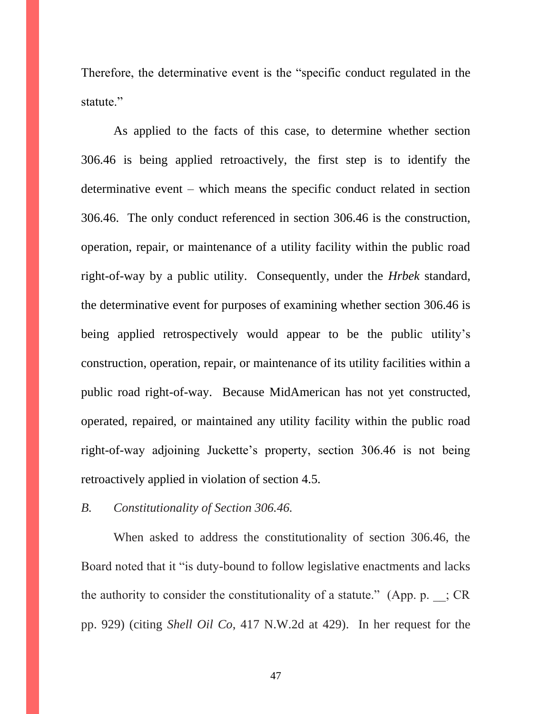Therefore, the determinative event is the "specific conduct regulated in the statute."

As applied to the facts of this case, to determine whether section 306.46 is being applied retroactively, the first step is to identify the determinative event – which means the specific conduct related in section 306.46. The only conduct referenced in section 306.46 is the construction, operation, repair, or maintenance of a utility facility within the public road right-of-way by a public utility. Consequently, under the *Hrbek* standard, the determinative event for purposes of examining whether section 306.46 is being applied retrospectively would appear to be the public utility's construction, operation, repair, or maintenance of its utility facilities within a public road right-of-way. Because MidAmerican has not yet constructed, operated, repaired, or maintained any utility facility within the public road right-of-way adjoining Juckette's property, section 306.46 is not being retroactively applied in violation of section 4.5.

*B. Constitutionality of Section 306.46.*

When asked to address the constitutionality of section 306.46, the Board noted that it "is duty-bound to follow legislative enactments and lacks the authority to consider the constitutionality of a statute." (App. p.  $\therefore$  CR pp. 929) (citing *Shell Oil Co*, 417 N.W.2d at 429). In her request for the

47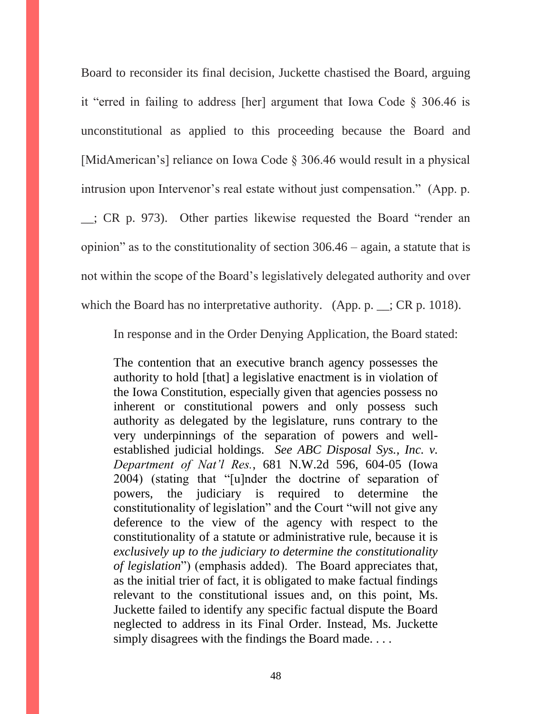Board to reconsider its final decision, Juckette chastised the Board, arguing it "erred in failing to address [her] argument that Iowa Code § 306.46 is unconstitutional as applied to this proceeding because the Board and [MidAmerican's] reliance on Iowa Code § 306.46 would result in a physical intrusion upon Intervenor's real estate without just compensation." (App. p. \_\_; CR p. 973). Other parties likewise requested the Board "render an opinion" as to the constitutionality of section 306.46 – again, a statute that is not within the scope of the Board's legislatively delegated authority and over which the Board has no interpretative authority. (App. p.  $\angle$ ; CR p. 1018).

In response and in the Order Denying Application, the Board stated:

The contention that an executive branch agency possesses the authority to hold [that] a legislative enactment is in violation of the Iowa Constitution, especially given that agencies possess no inherent or constitutional powers and only possess such authority as delegated by the legislature, runs contrary to the very underpinnings of the separation of powers and wellestablished judicial holdings. *See ABC Disposal Sys., Inc. v. Department of Nat'l Res.*, 681 N.W.2d 596, 604-05 (Iowa 2004) (stating that "[u]nder the doctrine of separation of powers, the judiciary is required to determine the constitutionality of legislation" and the Court "will not give any deference to the view of the agency with respect to the constitutionality of a statute or administrative rule, because it is *exclusively up to the judiciary to determine the constitutionality of legislation*") (emphasis added). The Board appreciates that, as the initial trier of fact, it is obligated to make factual findings relevant to the constitutional issues and, on this point, Ms. Juckette failed to identify any specific factual dispute the Board neglected to address in its Final Order. Instead, Ms. Juckette simply disagrees with the findings the Board made....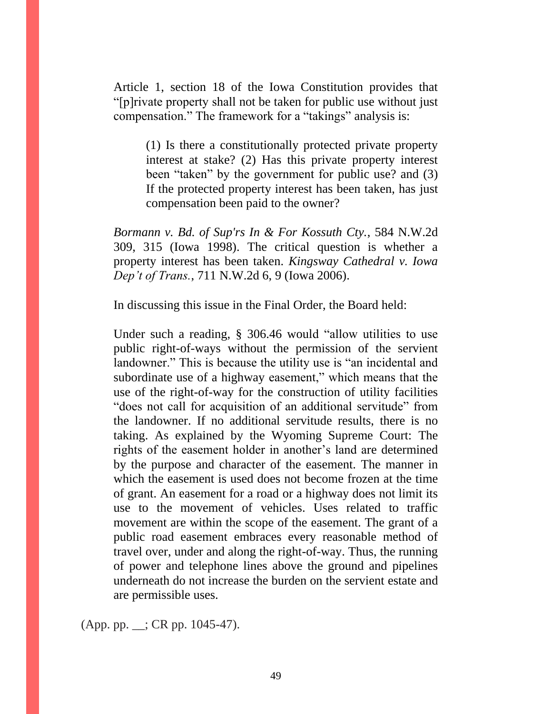Article 1, section 18 of the Iowa Constitution provides that "[p]rivate property shall not be taken for public use without just compensation." The framework for a "takings" analysis is:

(1) Is there a constitutionally protected private property interest at stake? (2) Has this private property interest been "taken" by the government for public use? and (3) If the protected property interest has been taken, has just compensation been paid to the owner?

*Bormann v. Bd. of Sup'rs In & For Kossuth Cty.*, 584 N.W.2d 309, 315 (Iowa 1998). The critical question is whether a property interest has been taken. *Kingsway Cathedral v. Iowa Dep't of Trans.*, 711 N.W.2d 6, 9 (Iowa 2006).

In discussing this issue in the Final Order, the Board held:

Under such a reading, § 306.46 would "allow utilities to use public right-of-ways without the permission of the servient landowner." This is because the utility use is "an incidental and subordinate use of a highway easement," which means that the use of the right-of-way for the construction of utility facilities "does not call for acquisition of an additional servitude" from the landowner. If no additional servitude results, there is no taking. As explained by the Wyoming Supreme Court: The rights of the easement holder in another's land are determined by the purpose and character of the easement. The manner in which the easement is used does not become frozen at the time of grant. An easement for a road or a highway does not limit its use to the movement of vehicles. Uses related to traffic movement are within the scope of the easement. The grant of a public road easement embraces every reasonable method of travel over, under and along the right-of-way. Thus, the running of power and telephone lines above the ground and pipelines underneath do not increase the burden on the servient estate and are permissible uses.

(App. pp. \_\_; CR pp. 1045-47).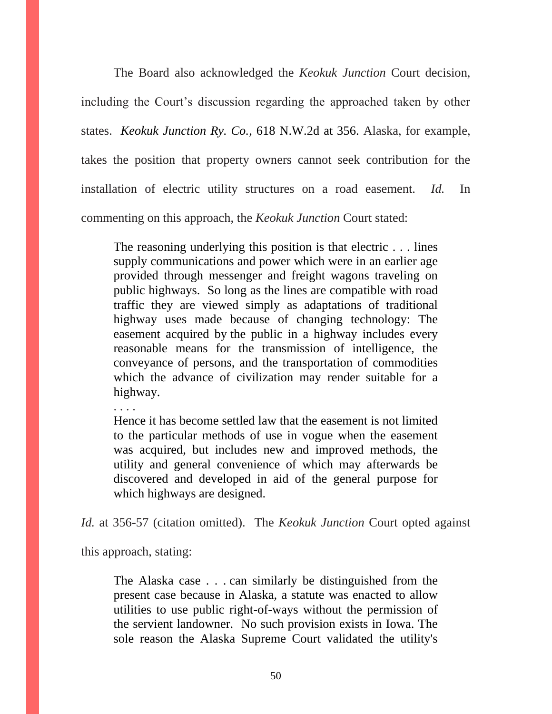The Board also acknowledged the *Keokuk Junction* Court decision, including the Court's discussion regarding the approached taken by other states. *Keokuk Junction Ry. Co.*, 618 N.W.2d at 356. Alaska, for example, takes the position that property owners cannot seek contribution for the installation of electric utility structures on a road easement. *Id.* In commenting on this approach, the *Keokuk Junction* Court stated:

The reasoning underlying this position is that electric . . . lines supply communications and power which were in an earlier age provided through messenger and freight wagons traveling on public highways. So long as the lines are compatible with road traffic they are viewed simply as adaptations of traditional highway uses made because of changing technology: The easement acquired by the public in a highway includes every reasonable means for the transmission of intelligence, the conveyance of persons, and the transportation of commodities which the advance of civilization may render suitable for a highway.

. . . .

Hence it has become settled law that the easement is not limited to the particular methods of use in vogue when the easement was acquired, but includes new and improved methods, the utility and general convenience of which may afterwards be discovered and developed in aid of the general purpose for which highways are designed.

*Id.* at 356-57 (citation omitted). The *Keokuk Junction* Court opted against

this approach, stating:

The Alaska case . . . can similarly be distinguished from the present case because in Alaska, a statute was enacted to allow utilities to use public right-of-ways without the permission of the servient landowner. No such provision exists in Iowa. The sole reason the Alaska Supreme Court validated the utility's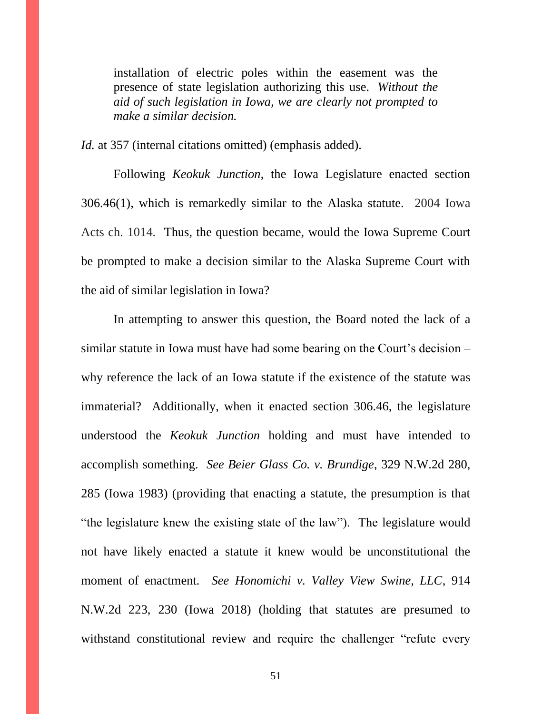installation of electric poles within the easement was the presence of state legislation authorizing this use. *Without the aid of such legislation in Iowa, we are clearly not prompted to make a similar decision.*

*Id.* at 357 (internal citations omitted) (emphasis added).

Following *Keokuk Junction*, the Iowa Legislature enacted section 306.46(1), which is remarkedly similar to the Alaska statute. 2004 Iowa Acts ch. 1014. Thus, the question became, would the Iowa Supreme Court be prompted to make a decision similar to the Alaska Supreme Court with the aid of similar legislation in Iowa?

In attempting to answer this question, the Board noted the lack of a similar statute in Iowa must have had some bearing on the Court's decision – why reference the lack of an Iowa statute if the existence of the statute was immaterial? Additionally, when it enacted section 306.46, the legislature understood the *Keokuk Junction* holding and must have intended to accomplish something. *See Beier Glass Co. v. Brundige*, 329 N.W.2d 280, 285 (Iowa 1983) (providing that enacting a statute, the presumption is that "the legislature knew the existing state of the law"). The legislature would not have likely enacted a statute it knew would be unconstitutional the moment of enactment. *See Honomichi v. Valley View Swine, LLC*, 914 N.W.2d 223, 230 (Iowa 2018) (holding that statutes are presumed to withstand constitutional review and require the challenger "refute every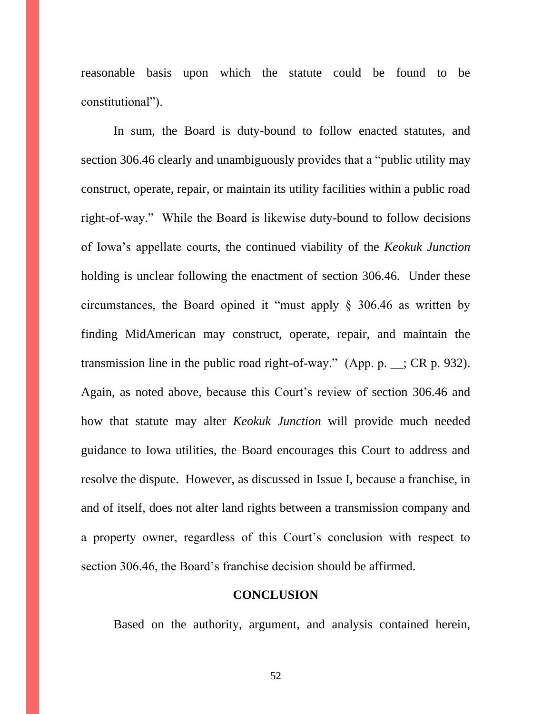reasonable basis upon which the statute could be found to be constitutional").

In sum, the Board is duty-bound to follow enacted statutes, and section 306.46 clearly and unambiguously provides that a "public utility may construct, operate, repair, or maintain its utility facilities within a public road right-of-way." While the Board is likewise duty-bound to follow decisions of Iowa's appellate courts, the continued viability of the *Keokuk Junction* holding is unclear following the enactment of section 306.46. Under these circumstances, the Board opined it "must apply § 306.46 as written by finding MidAmerican may construct, operate, repair, and maintain the transmission line in the public road right-of-way." (App. p. \_\_; CR p. 932). Again, as noted above, because this Court's review of section 306.46 and how that statute may alter *Keokuk Junction* will provide much needed guidance to Iowa utilities, the Board encourages this Court to address and resolve the dispute. However, as discussed in Issue I, because a franchise, in and of itself, does not alter land rights between a transmission company and a property owner, regardless of this Court's conclusion with respect to section 306.46, the Board's franchise decision should be affirmed.

### **CONCLUSION**

Based on the authority, argument, and analysis contained herein,

52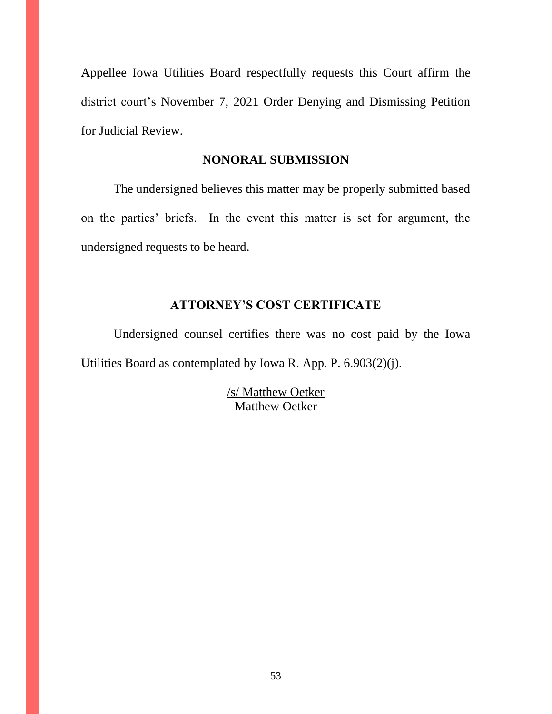Appellee Iowa Utilities Board respectfully requests this Court affirm the district court's November 7, 2021 Order Denying and Dismissing Petition for Judicial Review.

### **NONORAL SUBMISSION**

The undersigned believes this matter may be properly submitted based on the parties' briefs. In the event this matter is set for argument, the undersigned requests to be heard.

# **ATTORNEY'S COST CERTIFICATE**

Undersigned counsel certifies there was no cost paid by the Iowa Utilities Board as contemplated by Iowa R. App. P. 6.903(2)(j).

> /s/ Matthew Oetker Matthew Oetker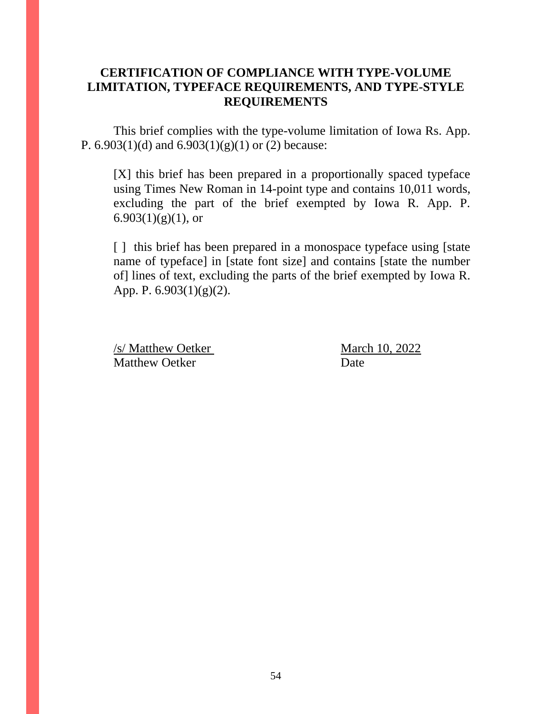## **CERTIFICATION OF COMPLIANCE WITH TYPE-VOLUME LIMITATION, TYPEFACE REQUIREMENTS, AND TYPE-STYLE REQUIREMENTS**

This brief complies with the type-volume limitation of Iowa Rs. App. P.  $6.903(1)(d)$  and  $6.903(1)(g)(1)$  or (2) because:

[X] this brief has been prepared in a proportionally spaced typeface using Times New Roman in 14-point type and contains 10,011 words, excluding the part of the brief exempted by Iowa R. App. P. 6.903 $(1)(g)(1)$ , or

[ ] this brief has been prepared in a monospace typeface using [state] name of typeface] in [state font size] and contains [state the number of] lines of text, excluding the parts of the brief exempted by Iowa R. App. P. 6.903(1)(g)(2).

/s/ Matthew Oetker March 10, 2022 Matthew Oetker Date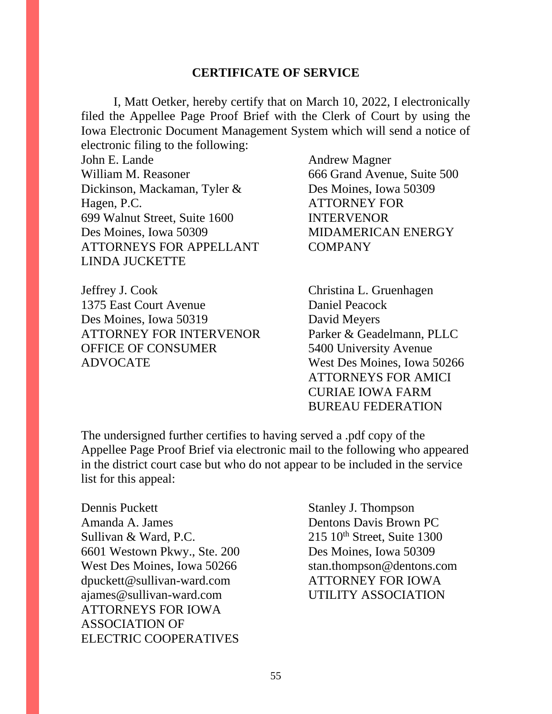### **CERTIFICATE OF SERVICE**

I, Matt Oetker, hereby certify that on March 10, 2022, I electronically filed the Appellee Page Proof Brief with the Clerk of Court by using the Iowa Electronic Document Management System which will send a notice of electronic filing to the following:

John E. Lande Andrew Magner William M. Reasoner 666 Grand Avenue, Suite 500 Dickinson, Mackaman, Tyler & Des Moines, Iowa 50309 Hagen, P.C. ATTORNEY FOR 699 Walnut Street, Suite 1600 INTERVENOR Des Moines, Iowa 50309 MIDAMERICAN ENERGY ATTORNEYS FOR APPELLANT COMPANY LINDA JUCKETTE

Jeffrey J. Cook Christina L. Gruenhagen 1375 East Court Avenue Daniel Peacock Des Moines, Iowa 50319 David Meyers ATTORNEY FOR INTERVENOR Parker & Geadelmann, PLLC OFFICE OF CONSUMER 5400 University Avenue ADVOCATE West Des Moines, Iowa 50266

ATTORNEYS FOR AMICI CURIAE IOWA FARM BUREAU FEDERATION

The undersigned further certifies to having served a .pdf copy of the Appellee Page Proof Brief via electronic mail to the following who appeared in the district court case but who do not appear to be included in the service list for this appeal:

Dennis Puckett Stanley J. Thompson Amanda A. James Dentons Davis Brown PC Sullivan & Ward, P.C.  $215 \, 10^{th}$  Street, Suite 1300 6601 Westown Pkwy., Ste. 200 Des Moines, Iowa 50309 West Des Moines, Iowa 50266 stan.thompson@dentons.com dpuckett@sullivan-ward.com ATTORNEY FOR IOWA ajames@sullivan-ward.com UTILITY ASSOCIATION ATTORNEYS FOR IOWA ASSOCIATION OF ELECTRIC COOPERATIVES